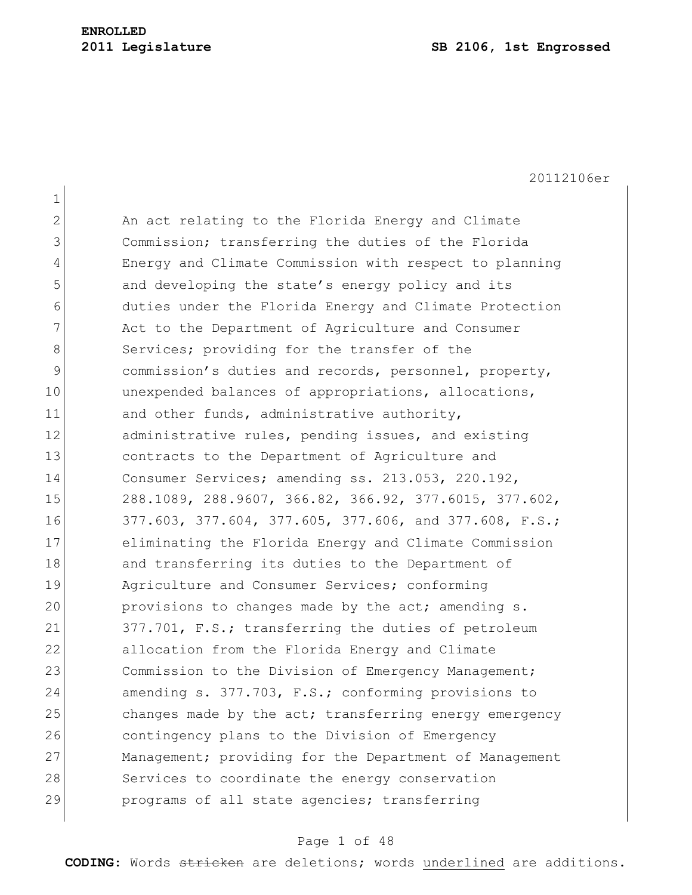1 2 An act relating to the Florida Energy and Climate 3 Commission; transferring the duties of the Florida 4 Energy and Climate Commission with respect to planning 5 and developing the state's energy policy and its 6 duties under the Florida Energy and Climate Protection 7 Act to the Department of Agriculture and Consumer 8 Services; providing for the transfer of the 9 commission's duties and records, personnel, property, 10 unexpended balances of appropriations, allocations, 11 and other funds, administrative authority, 12 administrative rules, pending issues, and existing 13 **contracts to the Department of Agriculture and** 14 Consumer Services; amending ss. 213.053, 220.192, 15 288.1089, 288.9607, 366.82, 366.92, 377.6015, 377.602, 16 377.603, 377.604, 377.605, 377.606, and 377.608, F.S.; 17 eliminating the Florida Energy and Climate Commission 18 and transferring its duties to the Department of 19 Agriculture and Consumer Services; conforming 20 provisions to changes made by the act; amending s. 21 377.701, F.S.; transferring the duties of petroleum 22 allocation from the Florida Energy and Climate 23 Commission to the Division of Emergency Management; 24 amending s. 377.703, F.S.; conforming provisions to 25 changes made by the act; transferring energy emergency 26 contingency plans to the Division of Emergency 27 Management; providing for the Department of Management 28 Services to coordinate the energy conservation 29 programs of all state agencies; transferring

#### Page 1 of 48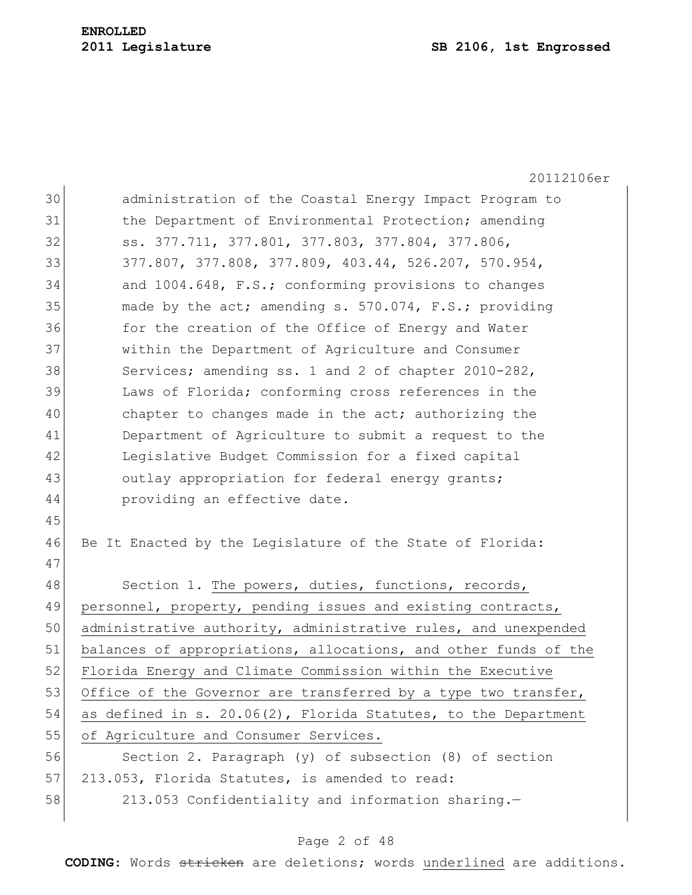|    | 20112106er                                                      |
|----|-----------------------------------------------------------------|
| 30 | administration of the Coastal Energy Impact Program to          |
| 31 | the Department of Environmental Protection; amending            |
| 32 | ss. 377.711, 377.801, 377.803, 377.804, 377.806,                |
| 33 | 377.807, 377.808, 377.809, 403.44, 526.207, 570.954,            |
| 34 | and 1004.648, F.S.; conforming provisions to changes            |
| 35 | made by the act; amending s. 570.074, F.S.; providing           |
| 36 | for the creation of the Office of Energy and Water              |
| 37 | within the Department of Agriculture and Consumer               |
| 38 | Services; amending ss. 1 and 2 of chapter 2010-282,             |
| 39 | Laws of Florida; conforming cross references in the             |
| 40 | chapter to changes made in the act; authorizing the             |
| 41 | Department of Agriculture to submit a request to the            |
| 42 | Legislative Budget Commission for a fixed capital               |
| 43 | outlay appropriation for federal energy grants;                 |
| 44 | providing an effective date.                                    |
| 45 |                                                                 |
| 46 | Be It Enacted by the Legislature of the State of Florida:       |
| 47 |                                                                 |
| 48 | Section 1. The powers, duties, functions, records,              |
| 49 | personnel, property, pending issues and existing contracts,     |
| 50 | administrative authority, administrative rules, and unexpended  |
| 51 | balances of appropriations, allocations, and other funds of the |
| 52 | Florida Energy and Climate Commission within the Executive      |
| 53 | Office of the Governor are transferred by a type two transfer,  |
| 54 | as defined in s. 20.06(2), Florida Statutes, to the Department  |
| 55 | of Agriculture and Consumer Services.                           |
| 56 | Section 2. Paragraph (y) of subsection (8) of section           |
| 57 | 213.053, Florida Statutes, is amended to read:                  |
| 58 | 213.053 Confidentiality and information sharing.-               |
|    |                                                                 |

# Page 2 of 48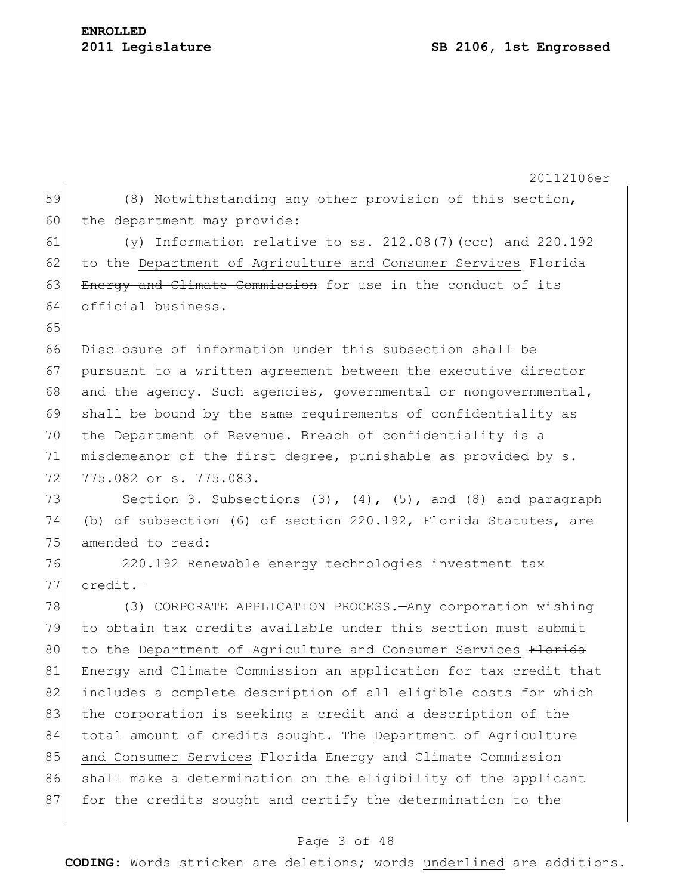20112106er 59 (8) Notwithstanding any other provision of this section, 60 the department may provide: 61  $(y)$  Information relative to ss. 212.08(7)(ccc) and 220.192 62 to the Department of Agriculture and Consumer Services Florida 63 Energy and Climate Commission for use in the conduct of its 64 official business. 65 66 Disclosure of information under this subsection shall be 67 pursuant to a written agreement between the executive director 68 and the agency. Such agencies, governmental or nongovernmental, 69 shall be bound by the same requirements of confidentiality as 70 the Department of Revenue. Breach of confidentiality is a 71 misdemeanor of the first degree, punishable as provided by s. 72 775.082 or s. 775.083. 73 Section 3. Subsections  $(3)$ ,  $(4)$ ,  $(5)$ , and  $(8)$  and paragraph 74 (b) of subsection (6) of section 220.192, Florida Statutes, are 75 amended to read: 76 220.192 Renewable energy technologies investment tax 77 credit.— 78 (3) CORPORATE APPLICATION PROCESS.—Any corporation wishing 79 to obtain tax credits available under this section must submit 80 to the Department of Agriculture and Consumer Services Florida 81 Energy and Climate Commission an application for tax credit that 82 includes a complete description of all eligible costs for which 83 the corporation is seeking a credit and a description of the 84 total amount of credits sought. The Department of Agriculture 85 and Consumer Services Florida Energy and Climate Commission 86 shall make a determination on the eligibility of the applicant 87 for the credits sought and certify the determination to the

## Page 3 of 48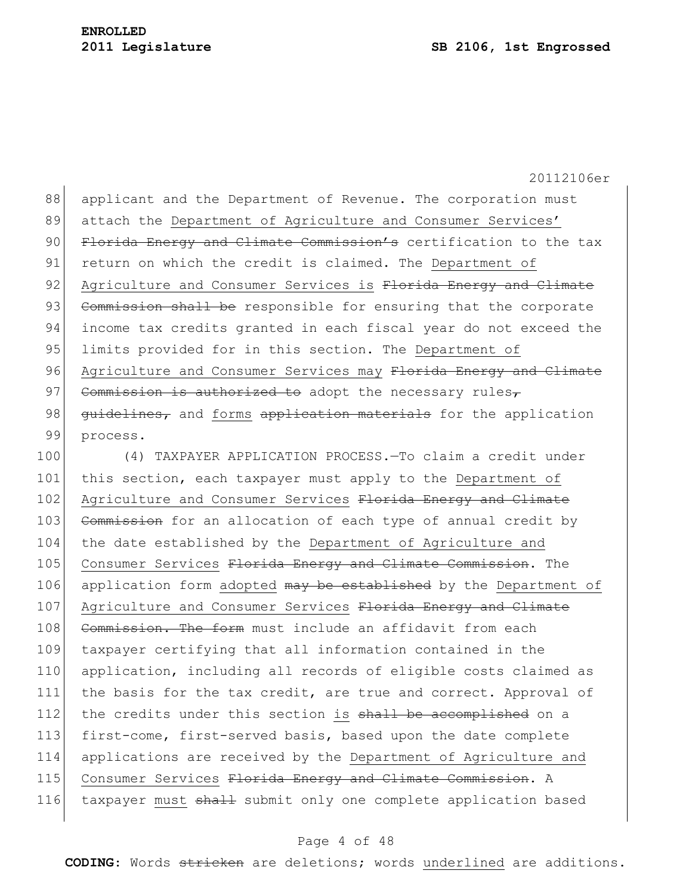88 applicant and the Department of Revenue. The corporation must 89 attach the Department of Agriculture and Consumer Services' 90 Florida Energy and Climate Commission's certification to the tax 91 return on which the credit is claimed. The Department of 92 Agriculture and Consumer Services is Florida Energy and Climate 93 Commission shall be responsible for ensuring that the corporate 94 income tax credits granted in each fiscal year do not exceed the 95 limits provided for in this section. The Department of 96 Agriculture and Consumer Services may Florida Energy and Climate 97 Commission is authorized to adopt the necessary rules $\tau$ 98 guidelines, and forms application materials for the application 99 process.

100 (4) TAXPAYER APPLICATION PROCESS.—To claim a credit under 101 this section, each taxpayer must apply to the Department of 102 Agriculture and Consumer Services Florida Energy and Climate 103 Commission for an allocation of each type of annual credit by 104 the date established by the Department of Agriculture and 105 Consumer Services Florida Energy and Climate Commission. The 106 application form adopted may be established by the Department of 107 Agriculture and Consumer Services Florida Energy and Climate 108 Commission. The form must include an affidavit from each 109 taxpayer certifying that all information contained in the 110 application, including all records of eligible costs claimed as 111 the basis for the tax credit, are true and correct. Approval of 112 the credits under this section is shall be accomplished on a 113 first-come, first-served basis, based upon the date complete 114 applications are received by the Department of Agriculture and 115 Consumer Services Florida Energy and Climate Commission. A 116 taxpayer must shall submit only one complete application based

#### Page 4 of 48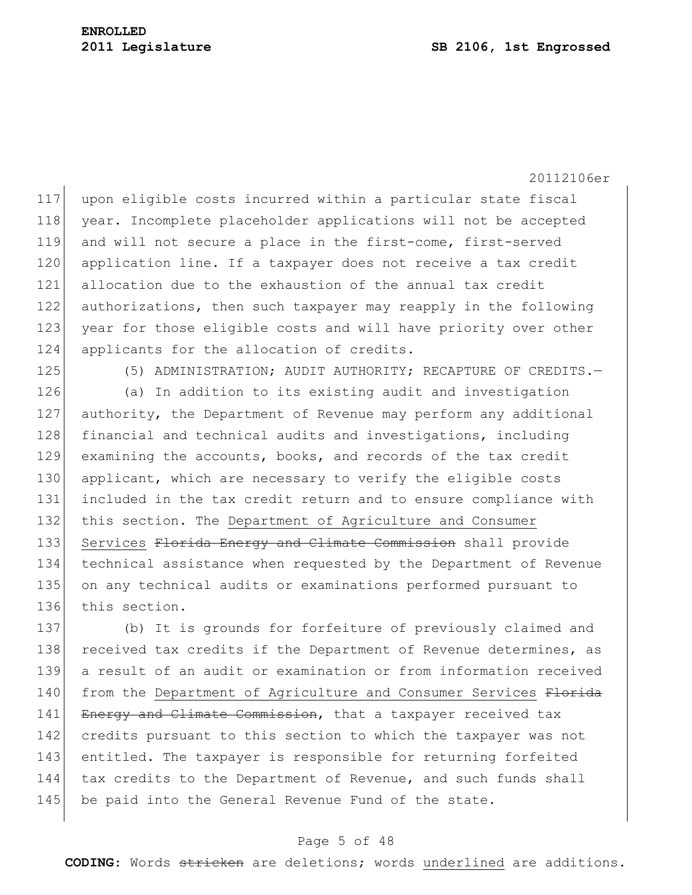20112106er 117 upon eligible costs incurred within a particular state fiscal 118 year. Incomplete placeholder applications will not be accepted 119 and will not secure a place in the first-come, first-served 120 application line. If a taxpayer does not receive a tax credit 121 allocation due to the exhaustion of the annual tax credit 122 authorizations, then such taxpayer may reapply in the following 123 year for those eligible costs and will have priority over other 124 applicants for the allocation of credits.

125 (5) ADMINISTRATION; AUDIT AUTHORITY; RECAPTURE OF CREDITS.

126 (a) In addition to its existing audit and investigation 127 authority, the Department of Revenue may perform any additional 128 financial and technical audits and investigations, including 129 examining the accounts, books, and records of the tax credit 130 applicant, which are necessary to verify the eligible costs 131 included in the tax credit return and to ensure compliance with 132 this section. The Department of Agriculture and Consumer 133 Services Florida Energy and Climate Commission shall provide 134 technical assistance when requested by the Department of Revenue 135 on any technical audits or examinations performed pursuant to 136 this section.

137 (b) It is grounds for forfeiture of previously claimed and 138 received tax credits if the Department of Revenue determines, as 139 a result of an audit or examination or from information received 140 from the Department of Agriculture and Consumer Services Florida 141 Energy and Climate Commission, that a taxpayer received tax 142 credits pursuant to this section to which the taxpayer was not 143 entitled. The taxpayer is responsible for returning forfeited 144 tax credits to the Department of Revenue, and such funds shall 145 be paid into the General Revenue Fund of the state.

#### Page 5 of 48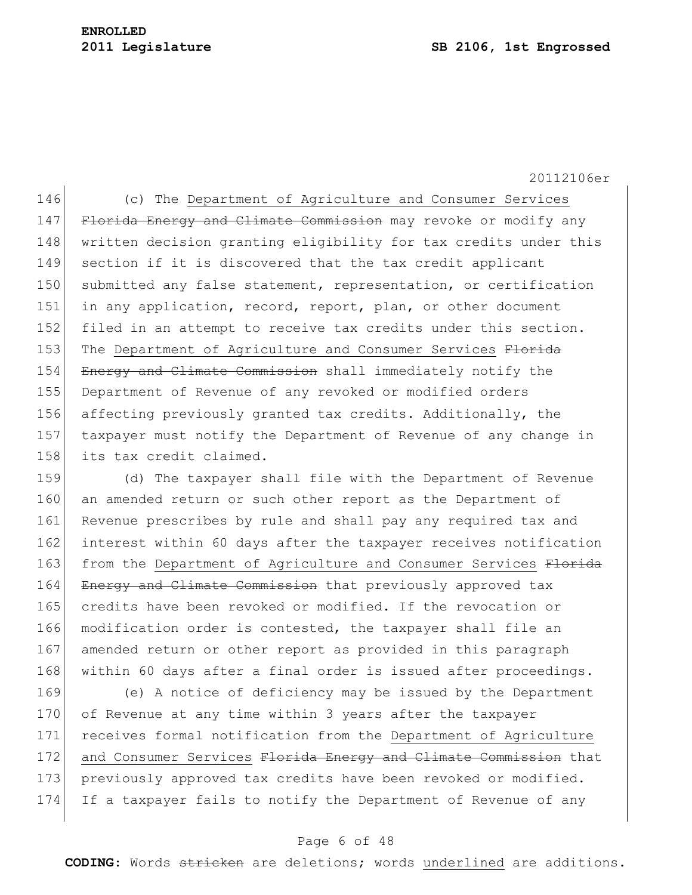146 (c) The Department of Agriculture and Consumer Services 147 Florida Energy and Climate Commission may revoke or modify any 148 written decision granting eligibility for tax credits under this 149 section if it is discovered that the tax credit applicant 150 submitted any false statement, representation, or certification 151 in any application, record, report, plan, or other document 152 filed in an attempt to receive tax credits under this section. 153 The Department of Agriculture and Consumer Services Florida 154 Energy and Climate Commission shall immediately notify the 155 Department of Revenue of any revoked or modified orders 156 affecting previously granted tax credits. Additionally, the 157 taxpayer must notify the Department of Revenue of any change in 158 its tax credit claimed.

159 (d) The taxpayer shall file with the Department of Revenue 160 an amended return or such other report as the Department of 161 Revenue prescribes by rule and shall pay any required tax and 162 interest within 60 days after the taxpayer receives notification 163 from the Department of Agriculture and Consumer Services Florida 164 Energy and Climate Commission that previously approved tax 165 credits have been revoked or modified. If the revocation or 166 modification order is contested, the taxpayer shall file an 167 amended return or other report as provided in this paragraph 168 within 60 days after a final order is issued after proceedings.

169 (e) A notice of deficiency may be issued by the Department 170 of Revenue at any time within 3 years after the taxpayer 171 receives formal notification from the Department of Agriculture 172 and Consumer Services Florida Energy and Climate Commission that 173 previously approved tax credits have been revoked or modified. 174 If a taxpayer fails to notify the Department of Revenue of any

## Page 6 of 48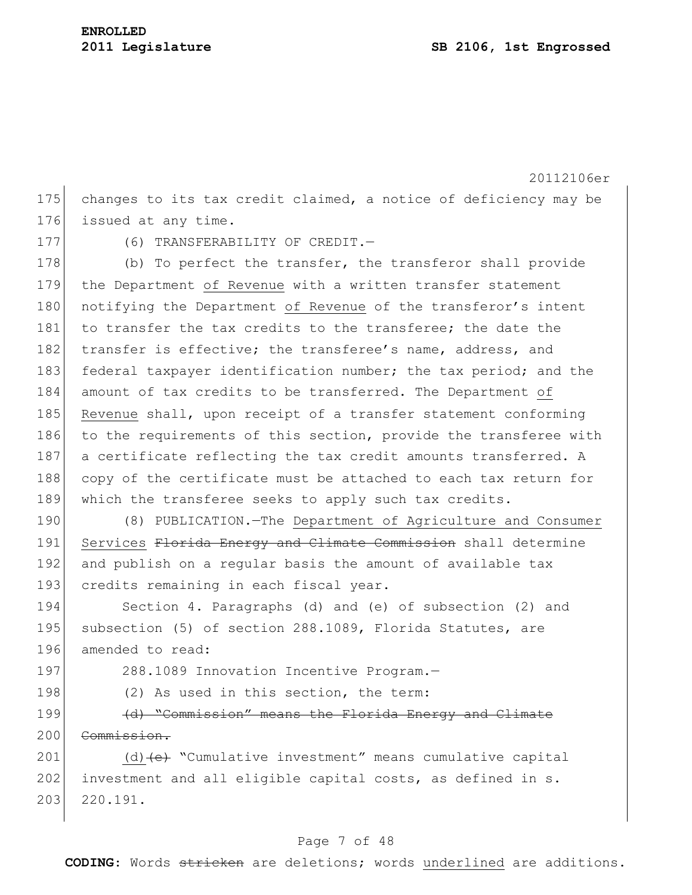20112106er Page 7 of 48 175 changes to its tax credit claimed, a notice of deficiency may be 176 issued at any time. 177 (6) TRANSFERABILITY OF CREDIT. 178 (b) To perfect the transfer, the transferor shall provide 179 the Department of Revenue with a written transfer statement 180 notifying the Department of Revenue of the transferor's intent 181 to transfer the tax credits to the transferee; the date the 182 transfer is effective; the transferee's name, address, and 183 federal taxpayer identification number; the tax period; and the 184 amount of tax credits to be transferred. The Department of 185 Revenue shall, upon receipt of a transfer statement conforming 186 to the requirements of this section, provide the transferee with 187 a certificate reflecting the tax credit amounts transferred. A 188 copy of the certificate must be attached to each tax return for 189 which the transferee seeks to apply such tax credits. 190 (8) PUBLICATION.—The Department of Agriculture and Consumer 191 Services Florida Energy and Climate Commission shall determine 192 and publish on a regular basis the amount of available tax 193 credits remaining in each fiscal year. 194 Section 4. Paragraphs (d) and (e) of subsection (2) and 195 subsection (5) of section 288.1089, Florida Statutes, are 196 amended to read: 197 288.1089 Innovation Incentive Program.-198 (2) As used in this section, the term: 199 (d) "Commission" means the Florida Energy and Climate 200 Commission. 201 (d) (e) "Cumulative investment" means cumulative capital  $202$  investment and all eligible capital costs, as defined in s. 203 220.191.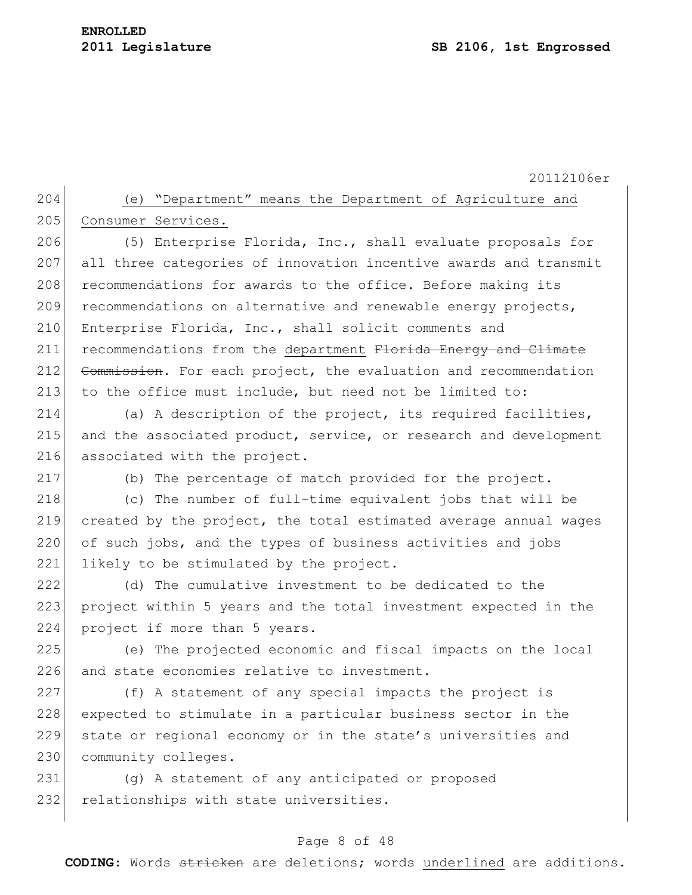204 (e) "Department" means the Department of Agriculture and 205 Consumer Services.

206 (5) Enterprise Florida, Inc., shall evaluate proposals for 207 all three categories of innovation incentive awards and transmit 208 recommendations for awards to the office. Before making its  $209$  recommendations on alternative and renewable energy projects, 210 Enterprise Florida, Inc., shall solicit comments and 211 recommendations from the department Florida Energy and Climate 212 Commission. For each project, the evaluation and recommendation 213 to the office must include, but need not be limited to:

214 (a) A description of the project, its required facilities, 215 and the associated product, service, or research and development 216 associated with the project.

217 (b) The percentage of match provided for the project.

218 (c) The number of full-time equivalent jobs that will be 219 created by the project, the total estimated average annual wages 220 of such jobs, and the types of business activities and jobs 221 likely to be stimulated by the project.

222 (d) The cumulative investment to be dedicated to the 223 project within 5 years and the total investment expected in the 224 project if more than 5 years.

225 (e) The projected economic and fiscal impacts on the local 226 and state economies relative to investment.

 (f) A statement of any special impacts the project is expected to stimulate in a particular business sector in the state or regional economy or in the state's universities and 230 community colleges.

231 (g) A statement of any anticipated or proposed 232 relationships with state universities.

## Page 8 of 48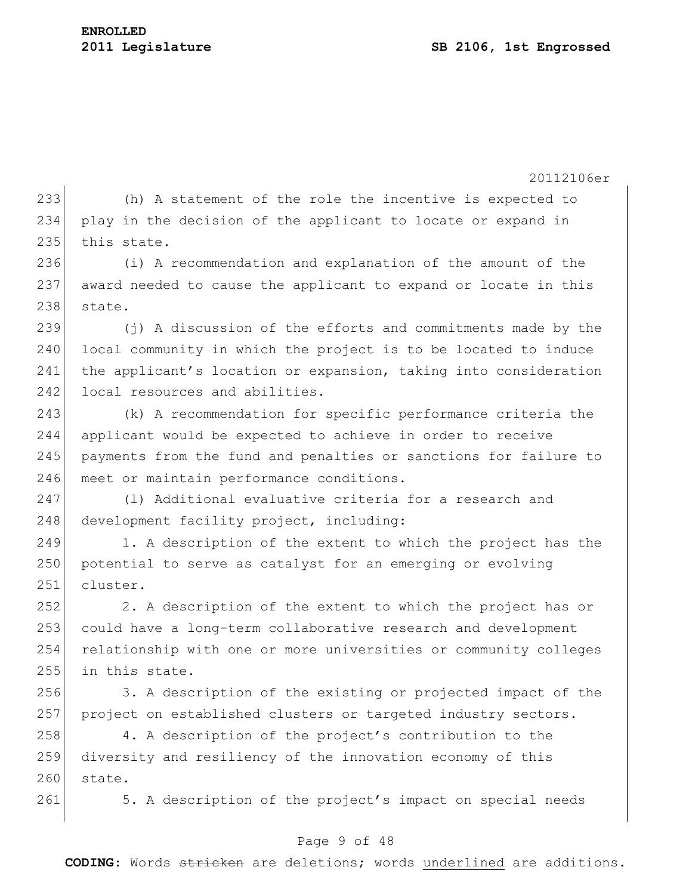20112106er 233 (h) A statement of the role the incentive is expected to 234 play in the decision of the applicant to locate or expand in 235 this state. 236 (i) A recommendation and explanation of the amount of the 237 award needed to cause the applicant to expand or locate in this 238 state. 239 (j) A discussion of the efforts and commitments made by the 240 local community in which the project is to be located to induce 241 the applicant's location or expansion, taking into consideration 242 local resources and abilities. 243 (k) A recommendation for specific performance criteria the 244 applicant would be expected to achieve in order to receive 245 payments from the fund and penalties or sanctions for failure to 246 meet or maintain performance conditions. 247 (l) Additional evaluative criteria for a research and 248 development facility project, including: 249 1. A description of the extent to which the project has the 250 potential to serve as catalyst for an emerging or evolving 251 cluster. 252 2. A description of the extent to which the project has or 253 could have a long-term collaborative research and development 254 relationship with one or more universities or community colleges 255 in this state. 256 3. A description of the existing or projected impact of the 257 project on established clusters or targeted industry sectors. 258 4. A description of the project's contribution to the 259 diversity and resiliency of the innovation economy of this 260 state. 261 5. A description of the project's impact on special needs

## Page 9 of 48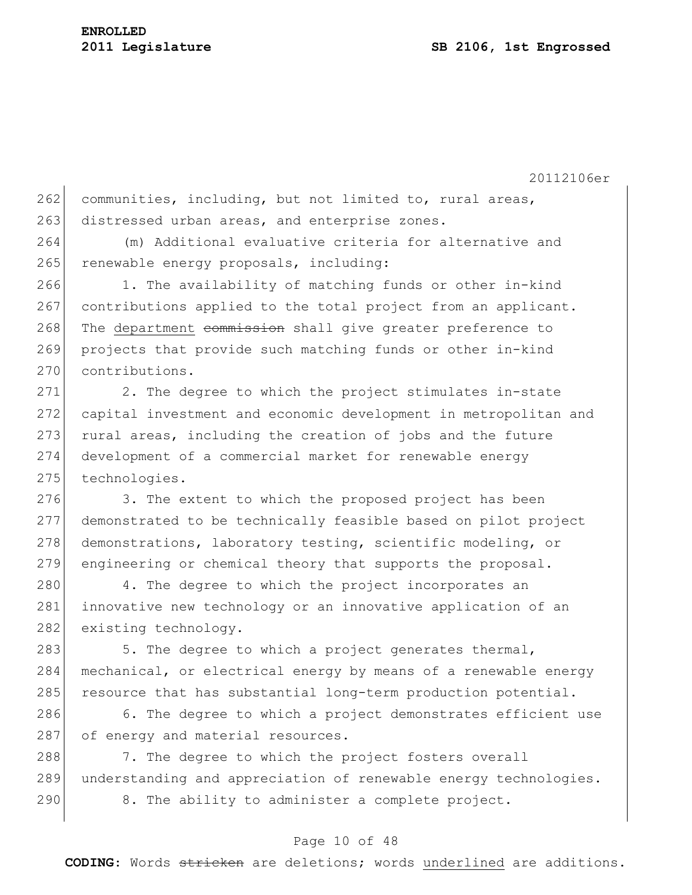262 communities, including, but not limited to, rural areas, 263 distressed urban areas, and enterprise zones.

264 (m) Additional evaluative criteria for alternative and 265 renewable energy proposals, including:

266 1. The availability of matching funds or other in-kind 267 contributions applied to the total project from an applicant. 268 The department commission shall give greater preference to 269 projects that provide such matching funds or other in-kind 270 contributions.

271 2. The degree to which the project stimulates in-state 272 capital investment and economic development in metropolitan and 273 rural areas, including the creation of jobs and the future 274 development of a commercial market for renewable energy 275 technologies.

276 3. The extent to which the proposed project has been 277 demonstrated to be technically feasible based on pilot project 278 demonstrations, laboratory testing, scientific modeling, or 279 engineering or chemical theory that supports the proposal.

280 4. The degree to which the project incorporates an 281 innovative new technology or an innovative application of an 282 existing technology.

283  $\vert$  5. The degree to which a project generates thermal, 284 | mechanical, or electrical energy by means of a renewable energy 285 resource that has substantial long-term production potential.

286 6. The degree to which a project demonstrates efficient use 287 of energy and material resources.

288 7. The degree to which the project fosters overall 289 understanding and appreciation of renewable energy technologies. 290 8. The ability to administer a complete project.

#### Page 10 of 48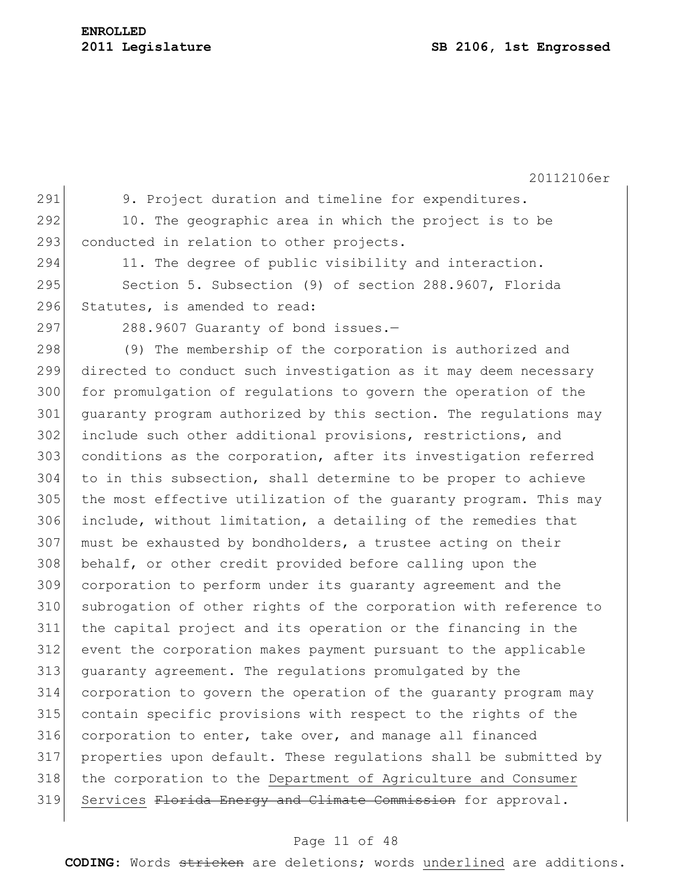291 9. Project duration and timeline for expenditures. 292 10. The geographic area in which the project is to be 293 conducted in relation to other projects. 294 11. The degree of public visibility and interaction. 295 Section 5. Subsection (9) of section 288.9607, Florida 296 Statutes, is amended to read:  $297$  288.9607 Guaranty of bond issues. 298 (9) The membership of the corporation is authorized and 299 directed to conduct such investigation as it may deem necessary 300 for promulgation of regulations to govern the operation of the 301 guaranty program authorized by this section. The regulations may 302 include such other additional provisions, restrictions, and 303 conditions as the corporation, after its investigation referred 304 to in this subsection, shall determine to be proper to achieve 305 the most effective utilization of the quaranty program. This may 306 include, without limitation, a detailing of the remedies that 307 must be exhausted by bondholders, a trustee acting on their 308 behalf, or other credit provided before calling upon the 309 corporation to perform under its guaranty agreement and the 310 subrogation of other rights of the corporation with reference to 311 the capital project and its operation or the financing in the 312 event the corporation makes payment pursuant to the applicable 313 guaranty agreement. The regulations promulgated by the 314 corporation to govern the operation of the guaranty program may 315 contain specific provisions with respect to the rights of the 316 corporation to enter, take over, and manage all financed 317 properties upon default. These regulations shall be submitted by 318 | the corporation to the Department of Agriculture and Consumer 319 Services Florida Energy and Climate Commission for approval.

#### Page 11 of 48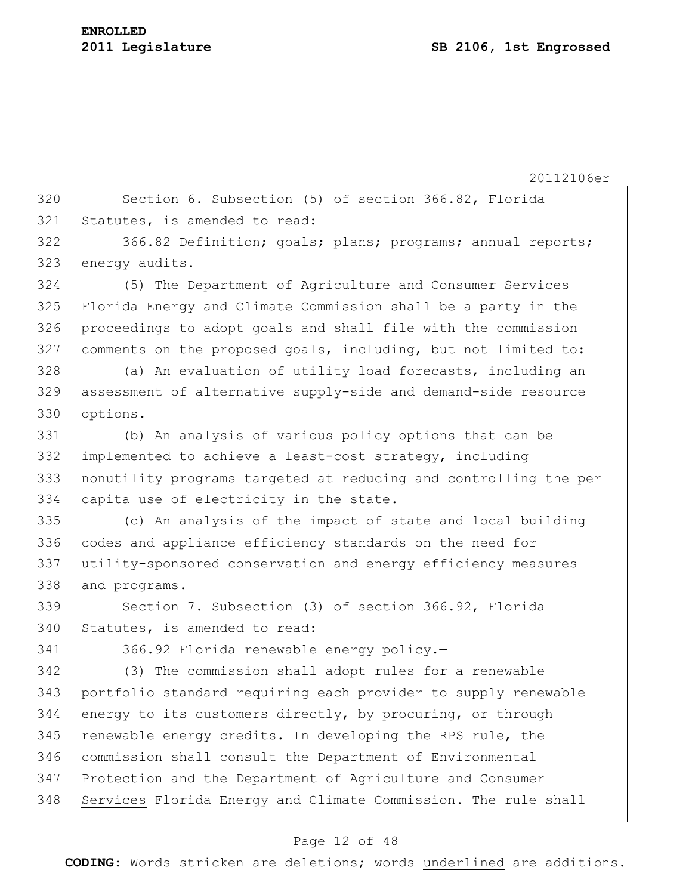320 Section 6. Subsection (5) of section 366.82, Florida 321 Statutes, is amended to read:

322 366.82 Definition; goals; plans; programs; annual reports;  $323$  energy audits.-

 (5) The Department of Agriculture and Consumer Services 325 Florida Energy and Climate Commission shall be a party in the proceedings to adopt goals and shall file with the commission comments on the proposed goals, including, but not limited to:

328 (a) An evaluation of utility load forecasts, including an 329 assessment of alternative supply-side and demand-side resource 330 options.

 (b) An analysis of various policy options that can be implemented to achieve a least-cost strategy, including nonutility programs targeted at reducing and controlling the per 334 capita use of electricity in the state.

 (c) An analysis of the impact of state and local building codes and appliance efficiency standards on the need for utility-sponsored conservation and energy efficiency measures 338 and programs.

339 Section 7. Subsection (3) of section 366.92, Florida 340 Statutes, is amended to read:

341 366.92 Florida renewable energy policy.

342 (3) The commission shall adopt rules for a renewable 343 portfolio standard requiring each provider to supply renewable 344 energy to its customers directly, by procuring, or through 345 renewable energy credits. In developing the RPS rule, the 346 commission shall consult the Department of Environmental 347 Protection and the Department of Agriculture and Consumer 348 Services Florida Energy and Climate Commission. The rule shall

# Page 12 of 48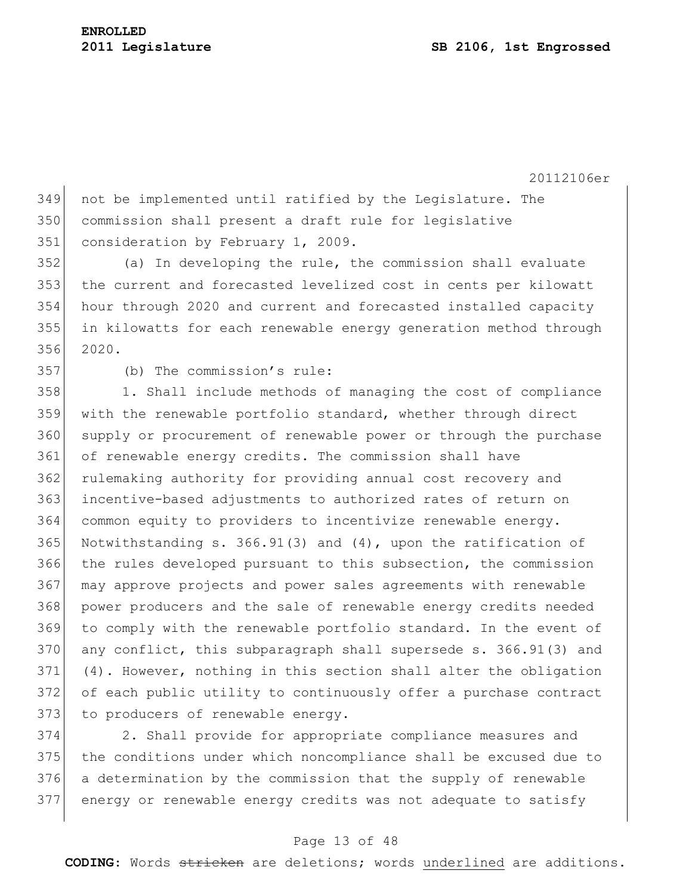not be implemented until ratified by the Legislature. The commission shall present a draft rule for legislative 351 consideration by February 1, 2009.

 (a) In developing the rule, the commission shall evaluate the current and forecasted levelized cost in cents per kilowatt hour through 2020 and current and forecasted installed capacity in kilowatts for each renewable energy generation method through 2020.

(b) The commission's rule:

358 1. Shall include methods of managing the cost of compliance with the renewable portfolio standard, whether through direct supply or procurement of renewable power or through the purchase of renewable energy credits. The commission shall have 362 rulemaking authority for providing annual cost recovery and 363 incentive-based adjustments to authorized rates of return on common equity to providers to incentivize renewable energy. 365 Notwithstanding s. 366.91(3) and (4), upon the ratification of the rules developed pursuant to this subsection, the commission may approve projects and power sales agreements with renewable power producers and the sale of renewable energy credits needed to comply with the renewable portfolio standard. In the event of any conflict, this subparagraph shall supersede s. 366.91(3) and (4). However, nothing in this section shall alter the obligation of each public utility to continuously offer a purchase contract 373 to producers of renewable energy.

 2. Shall provide for appropriate compliance measures and the conditions under which noncompliance shall be excused due to a determination by the commission that the supply of renewable energy or renewable energy credits was not adequate to satisfy

## Page 13 of 48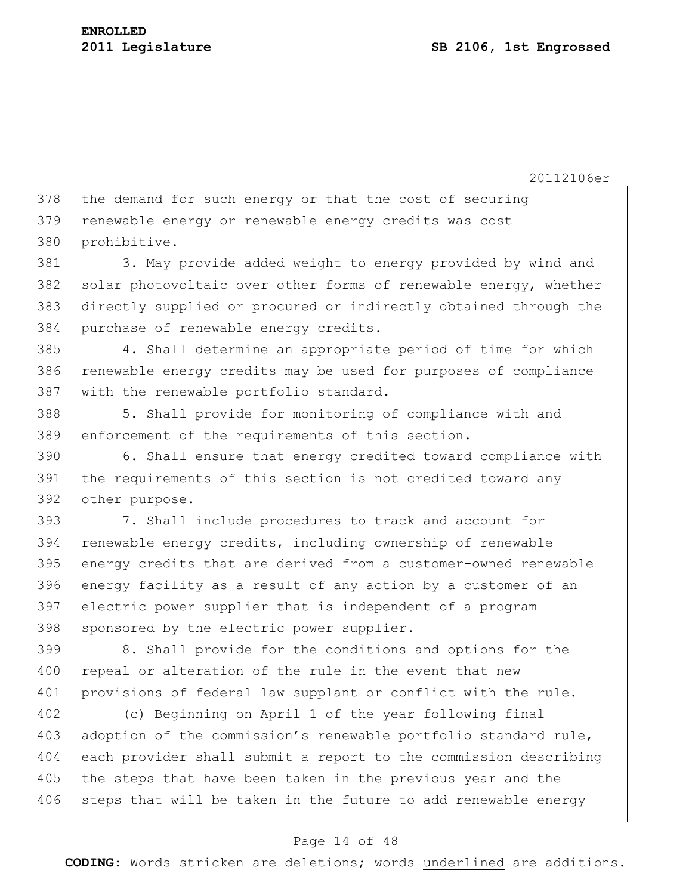378 the demand for such energy or that the cost of securing 379 renewable energy or renewable energy credits was cost 380 prohibitive.

381 3. May provide added weight to energy provided by wind and 382 solar photovoltaic over other forms of renewable energy, whether 383 directly supplied or procured or indirectly obtained through the 384 purchase of renewable energy credits.

385 4. Shall determine an appropriate period of time for which 386 renewable energy credits may be used for purposes of compliance 387 with the renewable portfolio standard.

388 5. Shall provide for monitoring of compliance with and 389 enforcement of the requirements of this section.

390 6. Shall ensure that energy credited toward compliance with 391 the requirements of this section is not credited toward any 392 other purpose.

 7. Shall include procedures to track and account for renewable energy credits, including ownership of renewable energy credits that are derived from a customer-owned renewable energy facility as a result of any action by a customer of an electric power supplier that is independent of a program 398 sponsored by the electric power supplier.

399 8. Shall provide for the conditions and options for the 400 repeal or alteration of the rule in the event that new 401 provisions of federal law supplant or conflict with the rule.

402 (c) Beginning on April 1 of the year following final 403 adoption of the commission's renewable portfolio standard rule, 404 each provider shall submit a report to the commission describing 405 the steps that have been taken in the previous year and the 406 steps that will be taken in the future to add renewable energy

# Page 14 of 48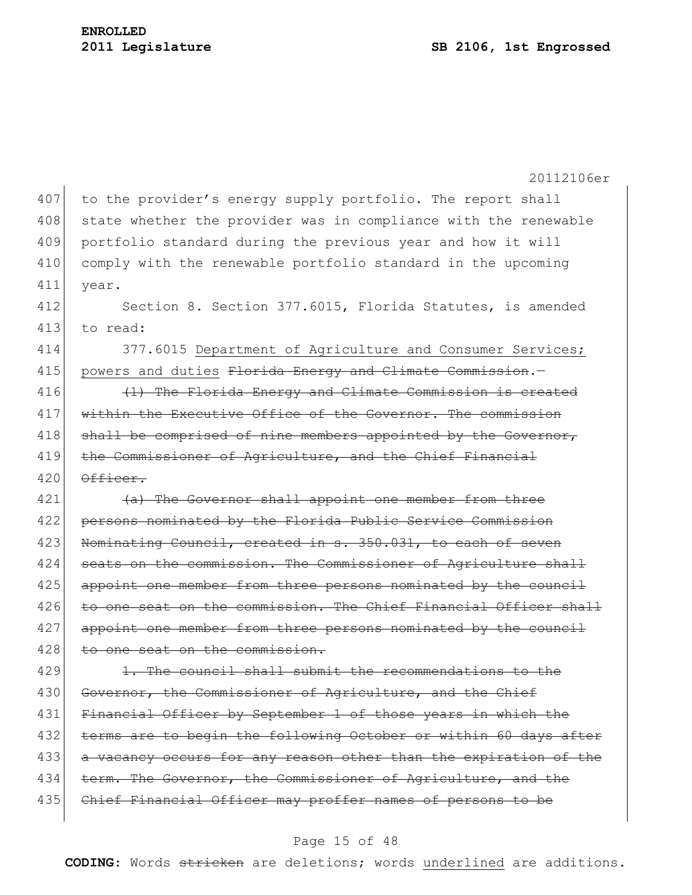20112106er 407 to the provider's energy supply portfolio. The report shall 408 state whether the provider was in compliance with the renewable 409 portfolio standard during the previous year and how it will 410 comply with the renewable portfolio standard in the upcoming 411 year. 412 Section 8. Section 377.6015, Florida Statutes, is amended 413 to read: 414 377.6015 Department of Agriculture and Consumer Services; 415 powers and duties Florida Energy and Climate Commission.-416  $(1)$  The Florida Energy and Climate Commission is created 417 within the Executive Office of the Governor. The commission 418  $\vert$  shall be comprised of nine members appointed by the Governor, 419 the Commissioner of Agriculture, and the Chief Financial  $420$   $\theta$ fficer. 421 (a) The Governor shall appoint one member from three 422 persons nominated by the Florida Public Service Commission 423 Nominating Council, created in s. 350.031, to each of seven 424 seats on the commission. The Commissioner of Agriculture shall 425 appoint one member from three persons nominated by the council 426 to one seat on the commission. The Chief Financial Officer shall 427 appoint one member from three persons nominated by the council 428 to one seat on the commission.  $429$  1. The council shall submit the recommendations to the 430 Governor, the Commissioner of Agriculture, and the Chief 431 Financial Officer by September 1 of those years in which the 432 terms are to begin the following October or within 60 days after 433 a vacancy occurs for any reason other than the expiration of the 434 term. The Governor, the Commissioner of Agriculture, and the 435 Chief Financial Officer may proffer names of persons to be

#### Page 15 of 48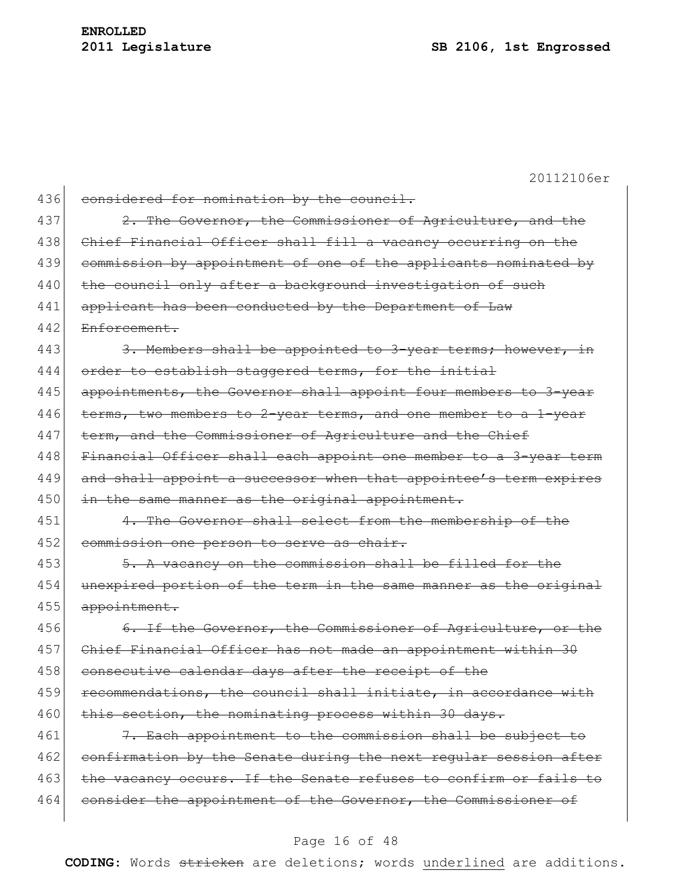20112106er 436 considered for nomination by the council. 437 2. The Governor, the Commissioner of Agriculture, and the 438 Chief Financial Officer shall fill a vacancy occurring on the 439 commission by appointment of one of the applicants nominated by 440 the council only after a background investigation of such 441 applicant has been conducted by the Department of Law 442 Enforcement. 443 3. Members shall be appointed to 3-year terms; however, in 444 order to establish staggered terms, for the initial 445 appointments, the Governor shall appoint four members to 3-year 446 terms, two members to 2-year terms, and one member to a 1-year 447 term, and the Commissioner of Agriculture and the Chief 448 Financial Officer shall each appoint one member to a 3-year term 449 and shall appoint a successor when that appointee's term expires 450 in the same manner as the original appointment. 451 4. The Governor shall select from the membership of the 452 commission one person to serve as chair. 453 5. A vacancy on the commission shall be filled for the 454 unexpired portion of the term in the same manner as the original 455 appointment. 456 6. If the Governor, the Commissioner of Agriculture, or the 457 Chief Financial Officer has not made an appointment within 30 458 consecutive calendar days after the receipt of the 459 recommendations, the council shall initiate, in accordance with 460 this section, the nominating process within 30 days. 461  $\vert$  7. Each appointment to the commission shall be subject to 462 confirmation by the Senate during the next regular session after 463 the vacancy occurs. If the Senate refuses to confirm or fails to 464 consider the appointment of the Governor, the Commissioner of

#### Page 16 of 48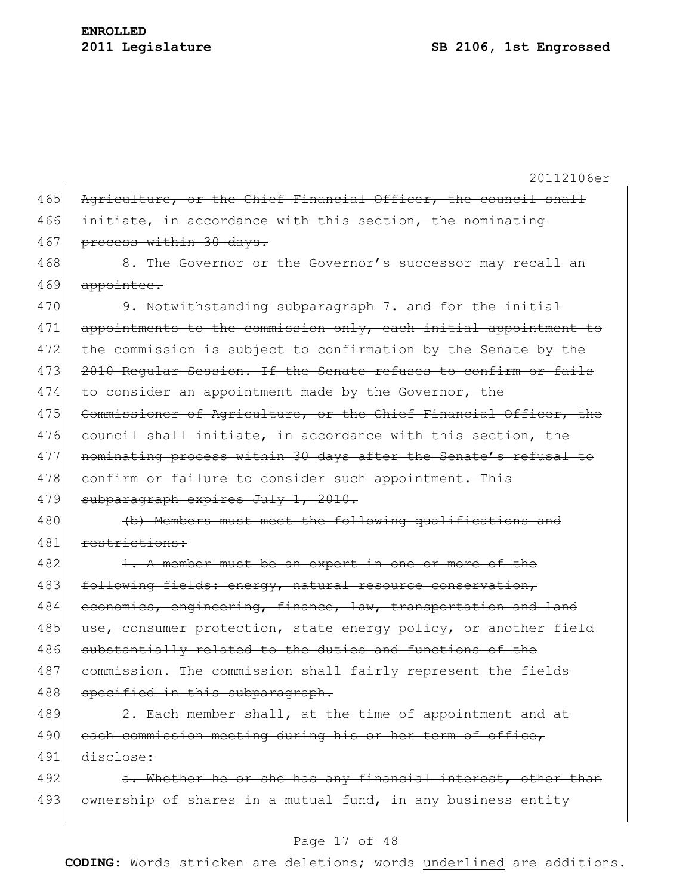20112106er 465 Agriculture, or the Chief Financial Officer, the council shall 466 initiate, in accordance with this section, the nominating 467 process within 30 days. 468 8. The Governor or the Governor's successor may recall an 469 appointee. 470 9. Notwithstanding subparagraph 7. and for the initial 471 appointments to the commission only, each initial appointment to 472 the commission is subject to confirmation by the Senate by the 473 2010 Regular Session. If the Senate refuses to confirm or fails 474 to consider an appointment made by the Governor, the 475 Commissioner of Agriculture, or the Chief Financial Officer, the 476 council shall initiate, in accordance with this section, the 477 nominating process within 30 days after the Senate's refusal to 478 confirm or failure to consider such appointment. This 479 subparagraph expires July 1, 2010. 480 (b) Members must meet the following qualifications and 481 restrictions: 482 1. A member must be an expert in one or more of the 483 following fields: energy, natural resource conservation, 484 economics, engineering, finance, law, transportation and land 485 use, consumer protection, state energy policy, or another field 486 substantially related to the duties and functions of the 487 commission. The commission shall fairly represent the fields 488 specified in this subparagraph.  $489$  2. Each member shall, at the time of appointment and at 490 each commission meeting during his or her term of office, 491 disclose: 492  $\vert$  a. Whether he or she has any financial interest, other than 493 ownership of shares in a mutual fund, in any business entity

#### Page 17 of 48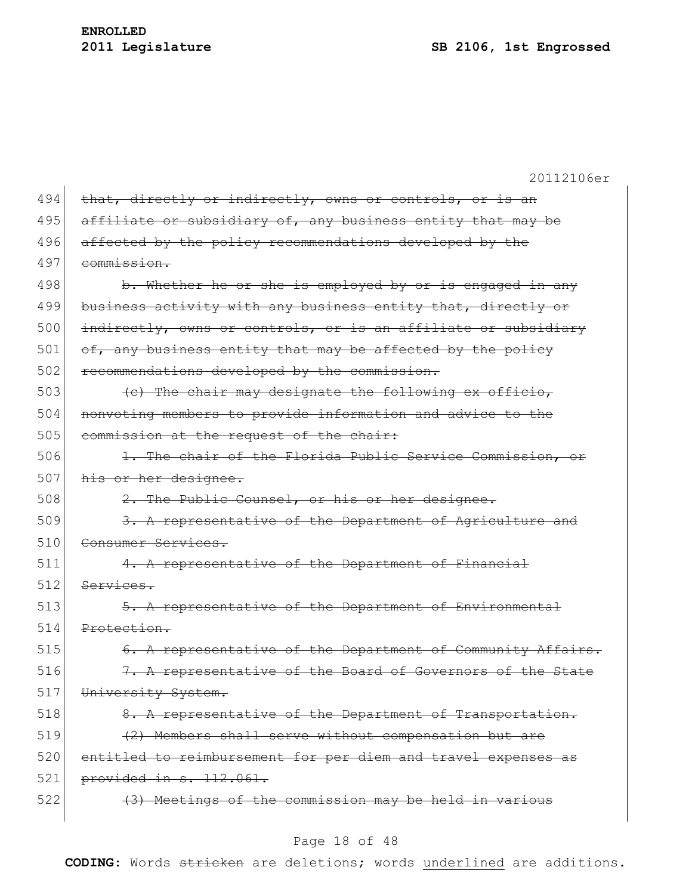|     | 20112106er                                                     |
|-----|----------------------------------------------------------------|
| 494 | that, directly or indirectly, owns or controls, or is an       |
| 495 | affiliate or subsidiary of, any business entity that may be    |
| 496 | affected by the policy recommendations developed by the        |
| 497 | commission.                                                    |
| 498 | b. Whether he or she is employed by or is engaged in any       |
| 499 | business activity with any business entity that, directly or   |
| 500 | indirectly, owns or controls, or is an affiliate or subsidiary |
| 501 | of, any business entity that may be affected by the policy     |
| 502 | recommendations developed by the commission.                   |
| 503 | (c) The chair may designate the following ex officio,          |
| 504 | nonvoting members to provide information and advice to the     |
| 505 | commission at the request of the chair:                        |
| 506 | 1. The chair of the Florida Public Service Commission, or      |
| 507 | his or her designee.                                           |
| 508 | 2. The Public Counsel, or his or her designee.                 |
| 509 | 3. A representative of the Department of Agriculture and       |
| 510 | Consumer Services.                                             |
| 511 | 4. A representative of the Department of Financial             |
| 512 | Services.                                                      |
| 513 | 5. A representative of the Department of Environmental         |
| 514 | Protection.                                                    |
| 515 | 6. A representative of the Department of Community Affairs.    |
| 516 | 7. A representative of the Board of Governors of the State     |
| 517 | University System.                                             |
| 518 | 8. A representative of the Department of Transportation.       |
| 519 | (2) Members shall serve without compensation but are           |
| 520 | entitled to reimbursement for per diem and travel expenses as  |
| 521 | provided in s. 112.061.                                        |
| 522 | (3) Meetings of the commission may be held in various          |
|     |                                                                |

# Page 18 of 48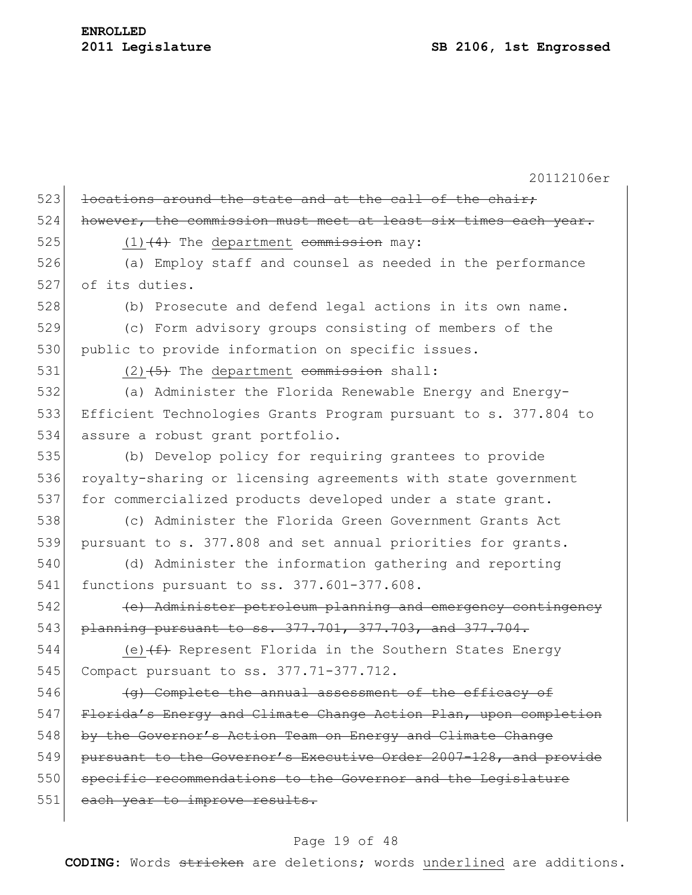# **ENROLLED**

20112106er 523 locations around the state and at the call of the chair; 524 however, the commission must meet at least six times each year. 525  $(1)$   $(4)$  The department commission may: 526 (a) Employ staff and counsel as needed in the performance 527 of its duties. 528 (b) Prosecute and defend legal actions in its own name. 529 (c) Form advisory groups consisting of members of the 530 public to provide information on specific issues. 531  $(2)$   $(5)$  The department commission shall: 532 (a) Administer the Florida Renewable Energy and Energy-533 Efficient Technologies Grants Program pursuant to s. 377.804 to 534 assure a robust grant portfolio. 535 (b) Develop policy for requiring grantees to provide 536 royalty-sharing or licensing agreements with state government 537 for commercialized products developed under a state grant. 538 (c) Administer the Florida Green Government Grants Act 539 pursuant to s. 377.808 and set annual priorities for grants. 540 (d) Administer the information gathering and reporting 541 functions pursuant to ss. 377.601-377.608. 542 (e) Administer petroleum planning and emergency contingency 543 planning pursuant to ss. 377.701, 377.703, and 377.704. 544 (e)  $(f)$  Represent Florida in the Southern States Energy 545 Compact pursuant to ss. 377.71-377.712.  $546$  (g) Complete the annual assessment of the efficacy of 547 Florida's Energy and Climate Change Action Plan, upon completion 548 by the Governor's Action Team on Energy and Climate Change 549 pursuant to the Governor's Executive Order 2007-128, and provide 550 specific recommendations to the Governor and the Legislature 551 each year to improve results.

## Page 19 of 48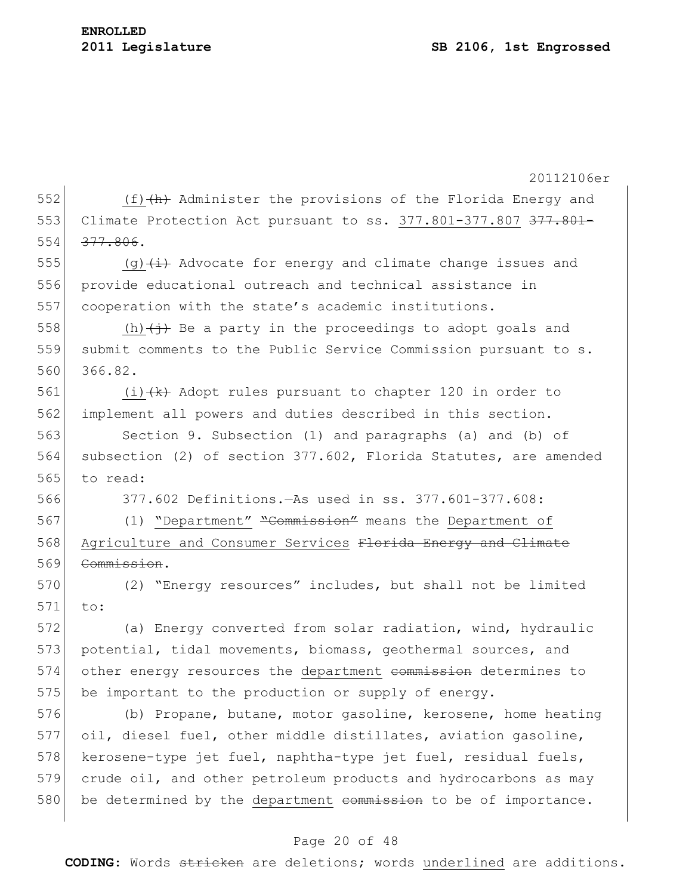| 552 | 20112106er                                                                    |
|-----|-------------------------------------------------------------------------------|
|     | $(f)$ $(h)$ Administer the provisions of the Florida Energy and               |
| 553 | Climate Protection Act pursuant to ss. 377.801-377.807 377.801-               |
| 554 | 377.806.                                                                      |
| 555 | (g) $\overline{t}$ Advocate for energy and climate change issues and          |
| 556 | provide educational outreach and technical assistance in                      |
| 557 | cooperation with the state's academic institutions.                           |
| 558 | (h) $\overleftrightarrow{f}$ Be a party in the proceedings to adopt goals and |
| 559 | submit comments to the Public Service Commission pursuant to s.               |
| 560 | 366.82.                                                                       |
| 561 | (i) $+k$ Adopt rules pursuant to chapter 120 in order to                      |
| 562 | implement all powers and duties described in this section.                    |
| 563 | Section 9. Subsection (1) and paragraphs (a) and (b) of                       |
| 564 | subsection (2) of section 377.602, Florida Statutes, are amended              |
| 565 | to read:                                                                      |
| 566 | 377.602 Definitions. - As used in ss. 377.601-377.608:                        |
| 567 | (1) "Department" "Commission" means the Department of                         |
| 568 | Agriculture and Consumer Services Florida Energy and Climate                  |
| 569 | Commission.                                                                   |
| 570 | (2) "Energy resources" includes, but shall not be limited                     |
| 571 | to:                                                                           |
| 572 | (a) Energy converted from solar radiation, wind, hydraulic                    |
| 573 | potential, tidal movements, biomass, geothermal sources, and                  |
| 574 | other energy resources the department commission determines to                |
| 575 | be important to the production or supply of energy.                           |
| 576 | (b) Propane, butane, motor gasoline, kerosene, home heating                   |
| 577 | oil, diesel fuel, other middle distillates, aviation gasoline,                |
| 578 | kerosene-type jet fuel, naphtha-type jet fuel, residual fuels,                |
| 579 | crude oil, and other petroleum products and hydrocarbons as may               |
| 580 | be determined by the department commission to be of importance.               |

# Page 20 of 48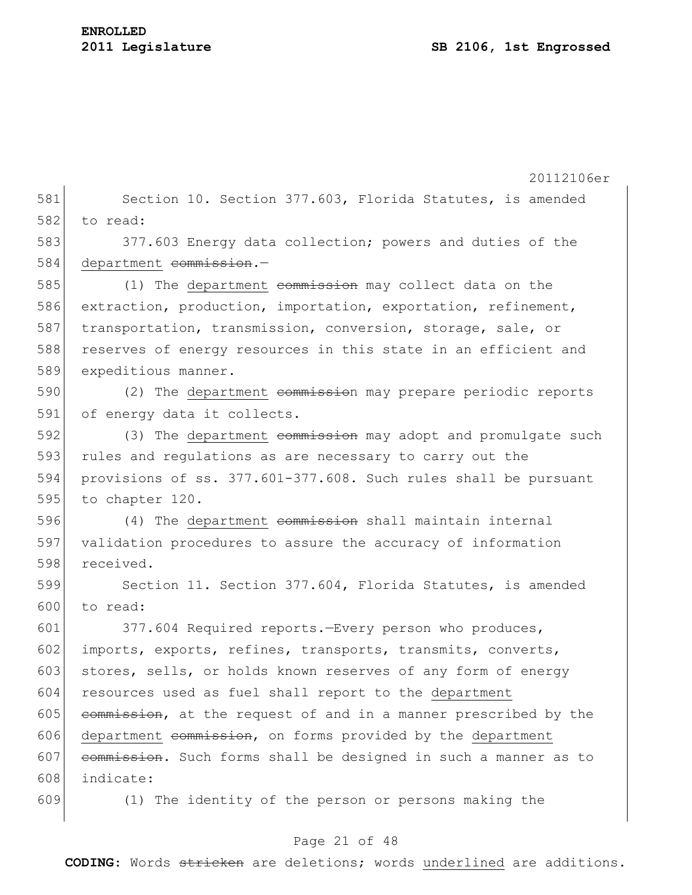|     | 20112106er                                                      |
|-----|-----------------------------------------------------------------|
| 581 | Section 10. Section 377.603, Florida Statutes, is amended       |
| 582 | to read:                                                        |
| 583 | 377.603 Energy data collection; powers and duties of the        |
| 584 | department commission.-                                         |
| 585 | (1) The department commission may collect data on the           |
| 586 | extraction, production, importation, exportation, refinement,   |
| 587 | transportation, transmission, conversion, storage, sale, or     |
| 588 | reserves of energy resources in this state in an efficient and  |
| 589 | expeditious manner.                                             |
| 590 | (2) The department commission may prepare periodic reports      |
| 591 | of energy data it collects.                                     |
| 592 | (3) The department commission may adopt and promulgate such     |
| 593 | rules and regulations as are necessary to carry out the         |
| 594 | provisions of ss. 377.601-377.608. Such rules shall be pursuant |
| 595 | to chapter 120.                                                 |
| 596 | (4) The department commission shall maintain internal           |
| 597 | validation procedures to assure the accuracy of information     |
| 598 | received.                                                       |
| 599 | Section 11. Section 377.604, Florida Statutes, is amended       |
| 600 | to read:                                                        |
| 601 | 377.604 Required reports. - Every person who produces,          |
| 602 | imports, exports, refines, transports, transmits, converts,     |
| 603 | stores, sells, or holds known reserves of any form of energy    |
| 604 | resources used as fuel shall report to the department           |
| 605 | commission, at the request of and in a manner prescribed by the |
| 606 | department commission, on forms provided by the department      |
| 607 | commission. Such forms shall be designed in such a manner as to |
| 608 | indicate:                                                       |
| 609 | (1) The identity of the person or persons making the            |

# Page 21 of 48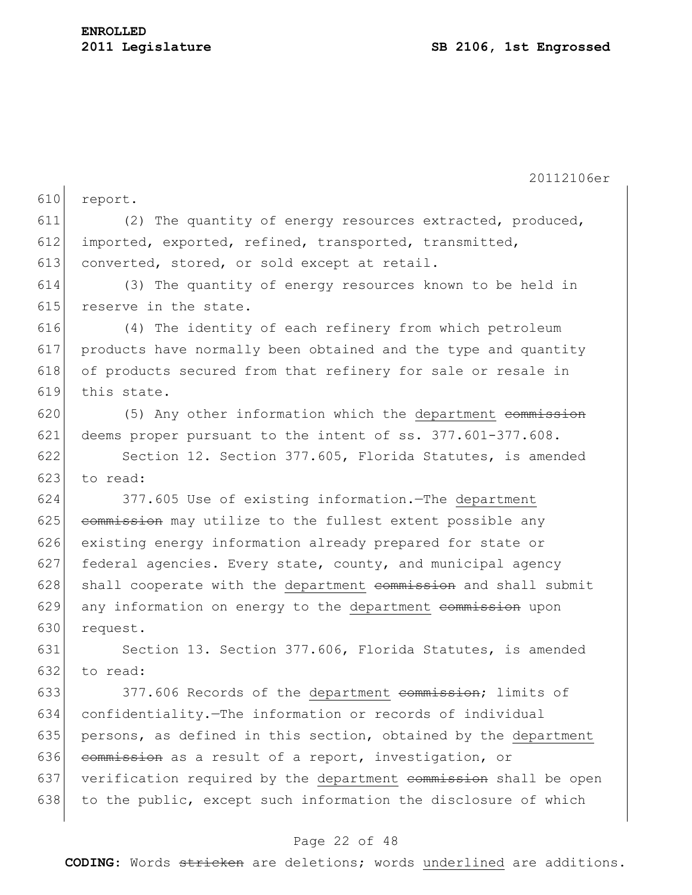20112106er 610 report. 611 (2) The quantity of energy resources extracted, produced, 612 imported, exported, refined, transported, transmitted, 613 converted, stored, or sold except at retail. 614 (3) The quantity of energy resources known to be held in 615 reserve in the state. 616 (4) The identity of each refinery from which petroleum 617 products have normally been obtained and the type and quantity 618 of products secured from that refinery for sale or resale in 619 this state. 620 (5) Any other information which the department commission 621 deems proper pursuant to the intent of ss. 377.601-377.608. 622 Section 12. Section 377.605, Florida Statutes, is amended  $623$  to read: 624 377.605 Use of existing information.—The department  $625$  commission may utilize to the fullest extent possible any 626 existing energy information already prepared for state or 627 federal agencies. Every state, county, and municipal agency  $628$  shall cooperate with the department commission and shall submit 629 any information on energy to the department commission upon 630 request. 631 Section 13. Section 377.606, Florida Statutes, is amended 632 to read: 633 377.606 Records of the department commission; limits of 634 confidentiality.—The information or records of individual 635 persons, as defined in this section, obtained by the department 636 commission as a result of a report, investigation, or  $637$  verification required by the department commission shall be open 638 to the public, except such information the disclosure of which

## Page 22 of 48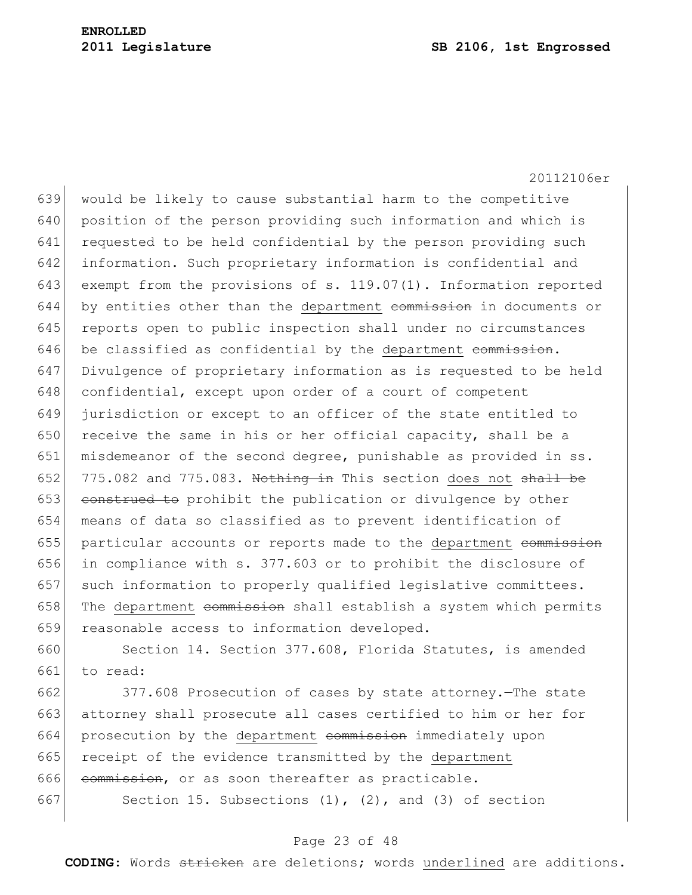20112106er 639 would be likely to cause substantial harm to the competitive 640 position of the person providing such information and which is 641 requested to be held confidential by the person providing such 642 information. Such proprietary information is confidential and 643 exempt from the provisions of s. 119.07(1). Information reported  $644$  by entities other than the department commission in documents or 645 reports open to public inspection shall under no circumstances  $646$  be classified as confidential by the department commission. 647 Divulgence of proprietary information as is requested to be held 648 confidential, except upon order of a court of competent 649 jurisdiction or except to an officer of the state entitled to 650 receive the same in his or her official capacity, shall be a 651 misdemeanor of the second degree, punishable as provided in ss. 652 775.082 and 775.083. Nothing in This section does not shall be 653 construed to prohibit the publication or divulgence by other 654 means of data so classified as to prevent identification of 655 particular accounts or reports made to the department commission 656 in compliance with s. 377.603 or to prohibit the disclosure of 657 such information to properly qualified legislative committees. 658 The department commission shall establish a system which permits 659 reasonable access to information developed.

660 Section 14. Section 377.608, Florida Statutes, is amended 661 to read:

 377.608 Prosecution of cases by state attorney.—The state attorney shall prosecute all cases certified to him or her for 664 prosecution by the department commission immediately upon receipt of the evidence transmitted by the department commission, or as soon thereafter as practicable. 667 Section 15. Subsections  $(1)$ ,  $(2)$ , and  $(3)$  of section

#### Page 23 of 48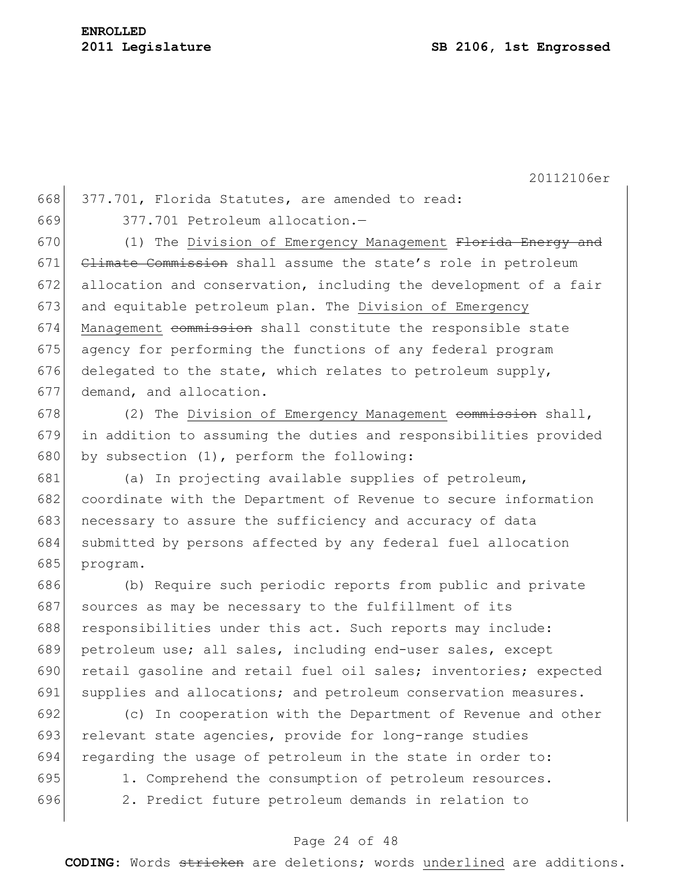668 377.701, Florida Statutes, are amended to read:

669 377.701 Petroleum allocation.—

670 (1) The Division of Emergency Management Florida Energy and 671 Climate Commission shall assume the state's role in petroleum 672 allocation and conservation, including the development of a fair 673 and equitable petroleum plan. The Division of Emergency 674 Management commission shall constitute the responsible state 675 agency for performing the functions of any federal program 676 delegated to the state, which relates to petroleum supply, 677 demand, and allocation.

678  $(2)$  The Division of Emergency Management commission shall, 679 in addition to assuming the duties and responsibilities provided 680 by subsection  $(1)$ , perform the following:

681 (a) In projecting available supplies of petroleum, 682 coordinate with the Department of Revenue to secure information 683 necessary to assure the sufficiency and accuracy of data 684 submitted by persons affected by any federal fuel allocation 685 program.

686 (b) Require such periodic reports from public and private 687 sources as may be necessary to the fulfillment of its 688 responsibilities under this act. Such reports may include: 689 petroleum use; all sales, including end-user sales, except 690 retail gasoline and retail fuel oil sales; inventories; expected 691 supplies and allocations; and petroleum conservation measures.

692 (c) In cooperation with the Department of Revenue and other 693 relevant state agencies, provide for long-range studies 694 regarding the usage of petroleum in the state in order to: 695 1. Comprehend the consumption of petroleum resources.

696 2. Predict future petroleum demands in relation to

# Page 24 of 48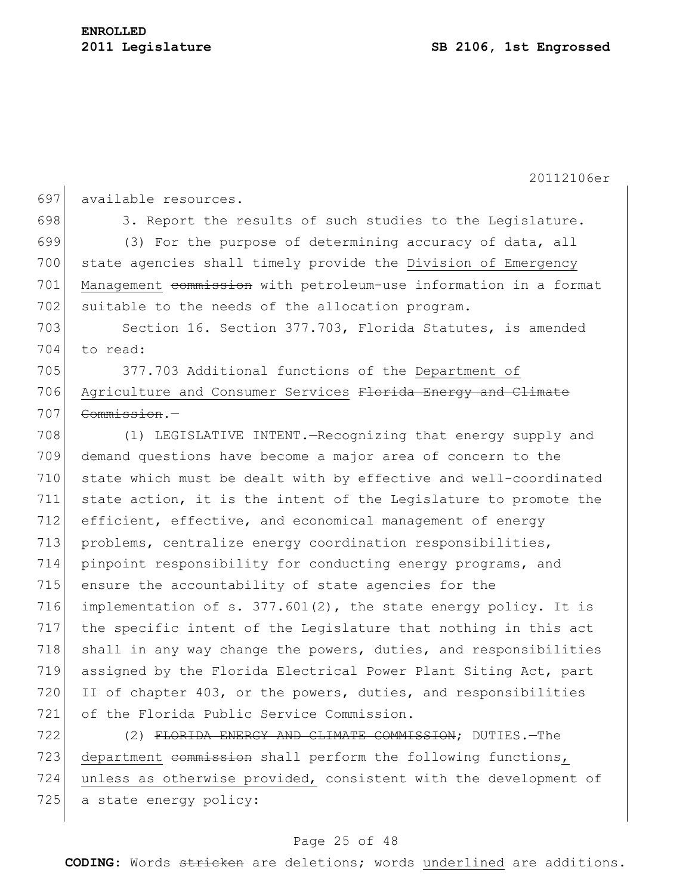20112106er 697 available resources. 698 3. Report the results of such studies to the Legislature. 699  $(3)$  For the purpose of determining accuracy of data, all 700 state agencies shall timely provide the Division of Emergency 701 Management commission with petroleum-use information in a format 702 suitable to the needs of the allocation program. 703 Section 16. Section 377.703, Florida Statutes, is amended 704 to read: 705 377.703 Additional functions of the Department of 706 Agriculture and Consumer Services Florida Energy and Climate 707 Commission.-708 (1) LEGISLATIVE INTENT.—Recognizing that energy supply and 709 demand questions have become a major area of concern to the 710 state which must be dealt with by effective and well-coordinated 711 state action, it is the intent of the Legislature to promote the 712 efficient, effective, and economical management of energy 713 problems, centralize energy coordination responsibilities, 714 pinpoint responsibility for conducting energy programs, and 715 ensure the accountability of state agencies for the 716 implementation of s. 377.601(2), the state energy policy. It is 717 the specific intent of the Legislature that nothing in this act 718 shall in any way change the powers, duties, and responsibilities 719 assigned by the Florida Electrical Power Plant Siting Act, part 720 II of chapter 403, or the powers, duties, and responsibilities 721 of the Florida Public Service Commission. 722 (2) FLORIDA ENERGY AND CLIMATE COMMISSION; DUTIES. The 723 department commission shall perform the following functions, 724 unless as otherwise provided, consistent with the development of

725 a state energy policy:

#### Page 25 of 48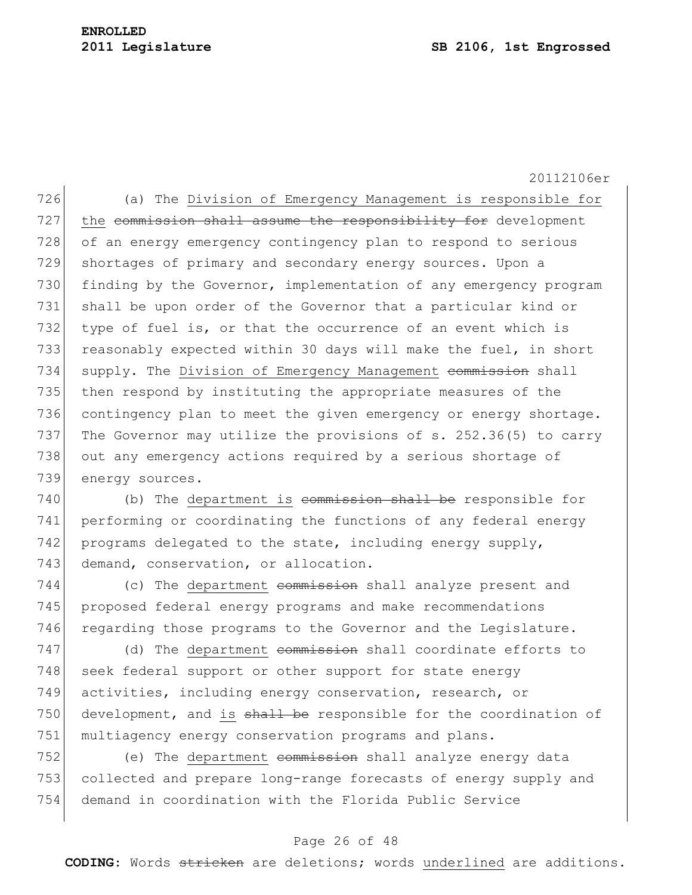726 (a) The Division of Emergency Management is responsible for 727 the commission shall assume the responsibility for development 728 of an energy emergency contingency plan to respond to serious 729 shortages of primary and secondary energy sources. Upon a 730 finding by the Governor, implementation of any emergency program 731 shall be upon order of the Governor that a particular kind or 732 type of fuel is, or that the occurrence of an event which is 733 reasonably expected within 30 days will make the fuel, in short 734 supply. The Division of Emergency Management commission shall 735 then respond by instituting the appropriate measures of the 736 contingency plan to meet the given emergency or energy shortage. 737 The Governor may utilize the provisions of s. 252.36(5) to carry 738 out any emergency actions required by a serious shortage of 739 energy sources.

740 (b) The department is commission shall be responsible for 741 performing or coordinating the functions of any federal energy 742 programs delegated to the state, including energy supply, 743 demand, conservation, or allocation.

 $744$  (c) The department commission shall analyze present and 745 proposed federal energy programs and make recommendations 746 regarding those programs to the Governor and the Legislature.

 $747$  (d) The department commission shall coordinate efforts to 748 seek federal support or other support for state energy 749 activities, including energy conservation, research, or 750 development, and is shall be responsible for the coordination of 751 multiagency energy conservation programs and plans.

752 (e) The department commission shall analyze energy data 753 collected and prepare long-range forecasts of energy supply and 754 demand in coordination with the Florida Public Service

## Page 26 of 48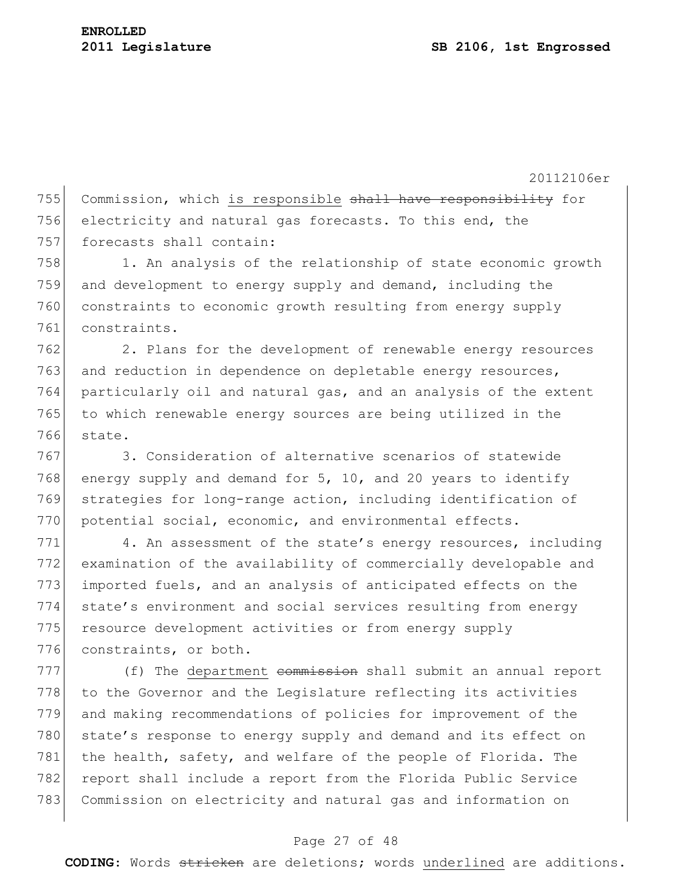755 Commission, which is responsible shall have responsibility for 756 electricity and natural gas forecasts. To this end, the 757 forecasts shall contain:

758 1. An analysis of the relationship of state economic growth 759 and development to energy supply and demand, including the 760 constraints to economic growth resulting from energy supply 761 constraints.

762 2. Plans for the development of renewable energy resources 763 and reduction in dependence on depletable energy resources, 764 particularly oil and natural gas, and an analysis of the extent 765 to which renewable energy sources are being utilized in the 766 state.

767 3. Consideration of alternative scenarios of statewide 768 energy supply and demand for  $5$ , 10, and 20 years to identify 769 strategies for long-range action, including identification of 770 potential social, economic, and environmental effects.

 $771$  4. An assessment of the state's energy resources, including 772 examination of the availability of commercially developable and 773 imported fuels, and an analysis of anticipated effects on the 774 state's environment and social services resulting from energy 775 resource development activities or from energy supply 776 constraints, or both.

777 (f) The department commission shall submit an annual report 778 to the Governor and the Legislature reflecting its activities 779 and making recommendations of policies for improvement of the 780 state's response to energy supply and demand and its effect on 781 the health, safety, and welfare of the people of Florida. The 782 report shall include a report from the Florida Public Service 783 Commission on electricity and natural gas and information on

## Page 27 of 48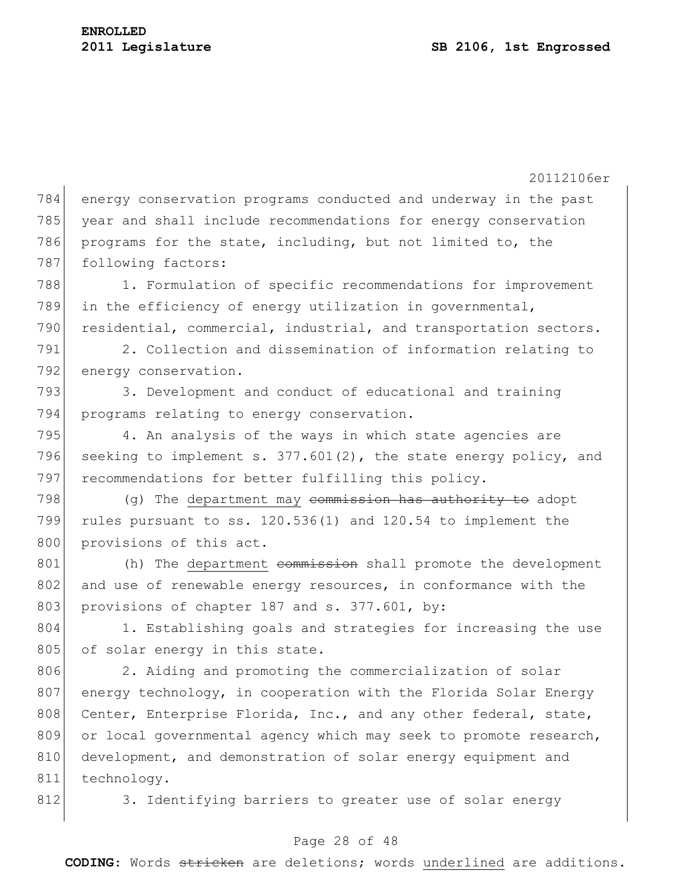20112106er 784 energy conservation programs conducted and underway in the past 785 year and shall include recommendations for energy conservation 786 programs for the state, including, but not limited to, the 787 following factors: 788 1. Formulation of specific recommendations for improvement 789 in the efficiency of energy utilization in governmental, 790 residential, commercial, industrial, and transportation sectors. 791 2. Collection and dissemination of information relating to 792 energy conservation. 793 3. Development and conduct of educational and training 794 programs relating to energy conservation. 795 4. An analysis of the ways in which state agencies are 796 seeking to implement s. 377.601(2), the state energy policy, and 797 recommendations for better fulfilling this policy.  $798$  (g) The department may commission has authority to adopt 799 rules pursuant to ss. 120.536(1) and 120.54 to implement the 800 provisions of this act. 801 (h) The department commission shall promote the development 802 and use of renewable energy resources, in conformance with the 803 provisions of chapter 187 and s. 377.601, by: 804 1. Establishing goals and strategies for increasing the use 805 of solar energy in this state. 806 2. Aiding and promoting the commercialization of solar 807 energy technology, in cooperation with the Florida Solar Energy 808 Center, Enterprise Florida, Inc., and any other federal, state, 809 or local governmental agency which may seek to promote research, 810 development, and demonstration of solar energy equipment and 811 technology. 812 3. Identifying barriers to greater use of solar energy

## Page 28 of 48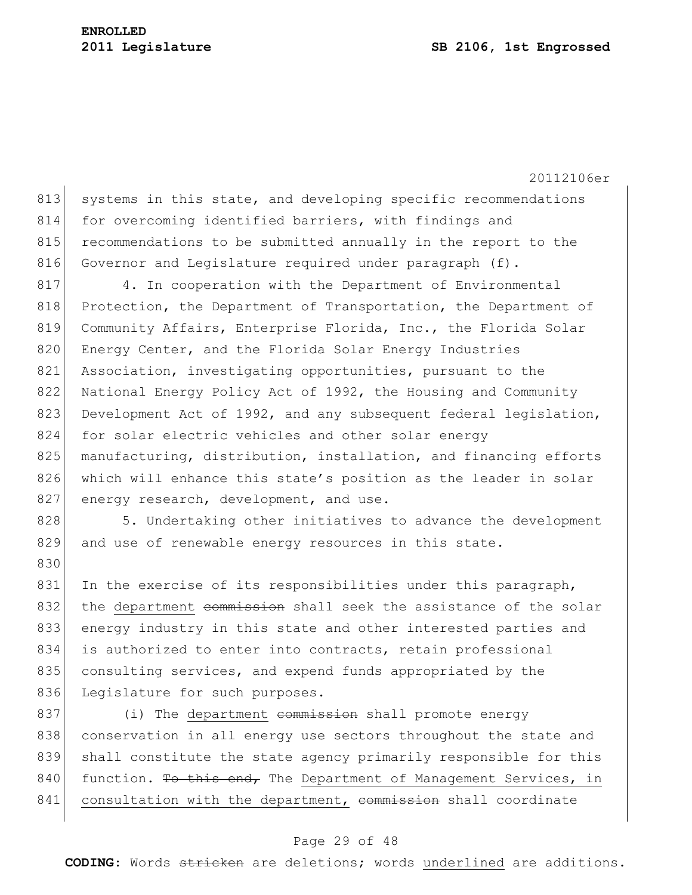830

20112106er

813 systems in this state, and developing specific recommendations 814 for overcoming identified barriers, with findings and 815 recommendations to be submitted annually in the report to the 816 Governor and Legislature required under paragraph (f).

817 4. In cooperation with the Department of Environmental 818 Protection, the Department of Transportation, the Department of 819 Community Affairs, Enterprise Florida, Inc., the Florida Solar 820 Energy Center, and the Florida Solar Energy Industries 821 Association, investigating opportunities, pursuant to the 822 National Energy Policy Act of 1992, the Housing and Community 823 Development Act of 1992, and any subsequent federal legislation, 824 for solar electric vehicles and other solar energy 825 manufacturing, distribution, installation, and financing efforts 826 which will enhance this state's position as the leader in solar 827 energy research, development, and use.

828 5. Undertaking other initiatives to advance the development 829 and use of renewable energy resources in this state.

831 In the exercise of its responsibilities under this paragraph, 832 the department commission shall seek the assistance of the solar 833 energy industry in this state and other interested parties and 834 is authorized to enter into contracts, retain professional 835 consulting services, and expend funds appropriated by the 836 Legislature for such purposes.

837 (i) The department commission shall promote energy 838 conservation in all energy use sectors throughout the state and 839 shall constitute the state agency primarily responsible for this 840 function. To this end, The Department of Management Services, in 841 consultation with the department, commission shall coordinate

#### Page 29 of 48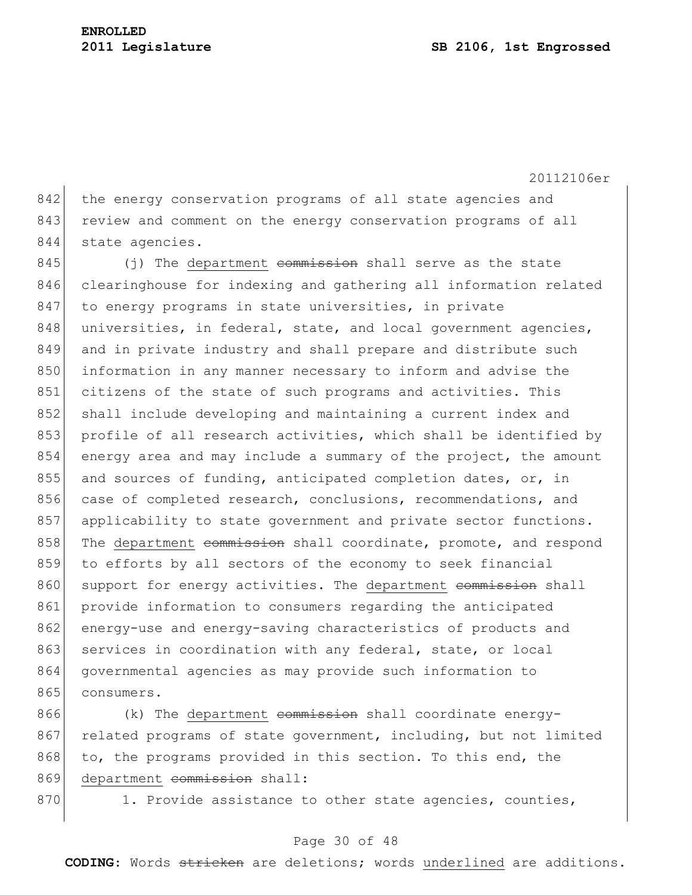842 the energy conservation programs of all state agencies and 843 review and comment on the energy conservation programs of all 844 state agencies.

 $845$  (j) The department commission shall serve as the state 846 clearinghouse for indexing and gathering all information related 847 to energy programs in state universities, in private 848 universities, in federal, state, and local government agencies, 849 and in private industry and shall prepare and distribute such 850 information in any manner necessary to inform and advise the 851 citizens of the state of such programs and activities. This 852 shall include developing and maintaining a current index and 853 profile of all research activities, which shall be identified by 854 energy area and may include a summary of the project, the amount 855 and sources of funding, anticipated completion dates, or, in 856 case of completed research, conclusions, recommendations, and 857 applicability to state government and private sector functions. 858 The department commission shall coordinate, promote, and respond 859 to efforts by all sectors of the economy to seek financial 860 support for energy activities. The department commission shall 861 provide information to consumers regarding the anticipated 862 energy-use and energy-saving characteristics of products and 863 services in coordination with any federal, state, or local 864 governmental agencies as may provide such information to 865 consumers.

866 (k) The department commission shall coordinate energy-867 related programs of state government, including, but not limited 868 to, the programs provided in this section. To this end, the 869 department commission shall:

870 1. Provide assistance to other state agencies, counties,

## Page 30 of 48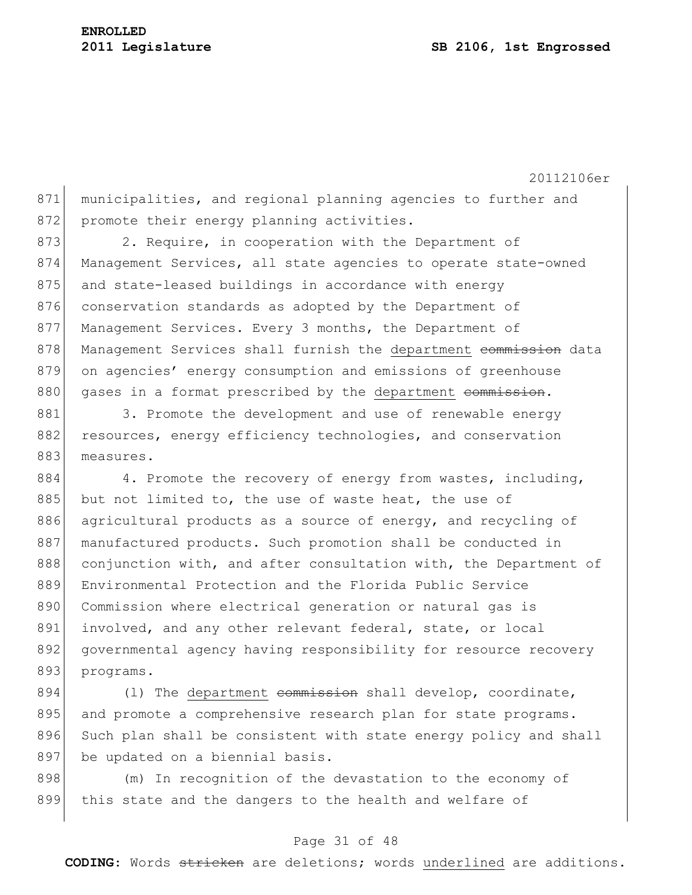20112106er 871 municipalities, and regional planning agencies to further and 872 promote their energy planning activities.

873 2. Require, in cooperation with the Department of 874 Management Services, all state agencies to operate state-owned 875 and state-leased buildings in accordance with energy 876 conservation standards as adopted by the Department of 877 Management Services. Every 3 months, the Department of 878 Management Services shall furnish the department commission data 879 on agencies' energy consumption and emissions of greenhouse 880 gases in a format prescribed by the department commission.

881 3. Promote the development and use of renewable energy 882 resources, energy efficiency technologies, and conservation 883 measures.

884 4. Promote the recovery of energy from wastes, including, 885 but not limited to, the use of waste heat, the use of 886 agricultural products as a source of energy, and recycling of 887 manufactured products. Such promotion shall be conducted in 888 conjunction with, and after consultation with, the Department of 889 Environmental Protection and the Florida Public Service 890 Commission where electrical generation or natural gas is 891 involved, and any other relevant federal, state, or local 892 governmental agency having responsibility for resource recovery 893 programs.

 $894$  (1) The department commission shall develop, coordinate, 895 and promote a comprehensive research plan for state programs. 896 Such plan shall be consistent with state energy policy and shall 897 be updated on a biennial basis.

898 (m) In recognition of the devastation to the economy of 899 this state and the dangers to the health and welfare of

## Page 31 of 48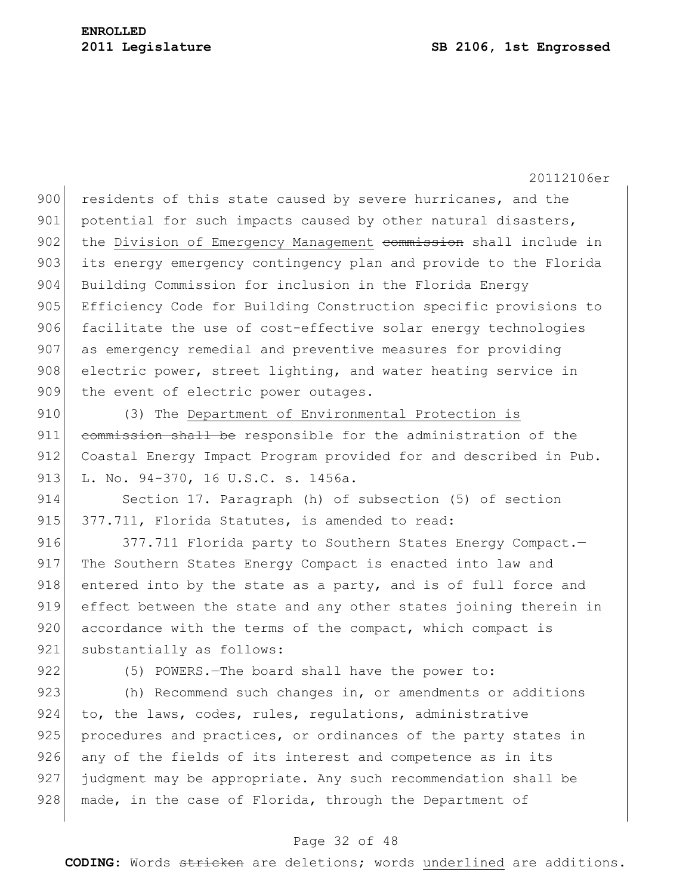900 residents of this state caused by severe hurricanes, and the 901 potential for such impacts caused by other natural disasters, 902 the Division of Emergency Management commission shall include in 903 its energy emergency contingency plan and provide to the Florida 904 Building Commission for inclusion in the Florida Energy 905 Efficiency Code for Building Construction specific provisions to 906 facilitate the use of cost-effective solar energy technologies 907 as emergency remedial and preventive measures for providing 908 electric power, street lighting, and water heating service in 909 the event of electric power outages.

910 (3) The Department of Environmental Protection is 911 commission shall be responsible for the administration of the 912 Coastal Energy Impact Program provided for and described in Pub. 913 L. No. 94-370, 16 U.S.C. s. 1456a.

914 Section 17. Paragraph (h) of subsection (5) of section 915 377.711, Florida Statutes, is amended to read:

916 377.711 Florida party to Southern States Energy Compact. 917 The Southern States Energy Compact is enacted into law and 918 entered into by the state as a party, and is of full force and 919 effect between the state and any other states joining therein in 920 accordance with the terms of the compact, which compact is 921 substantially as follows:

922 (5) POWERS.—The board shall have the power to:

923 (h) Recommend such changes in, or amendments or additions 924 to, the laws, codes, rules, regulations, administrative 925 procedures and practices, or ordinances of the party states in 926 any of the fields of its interest and competence as in its 927 judgment may be appropriate. Any such recommendation shall be 928 made, in the case of Florida, through the Department of

## Page 32 of 48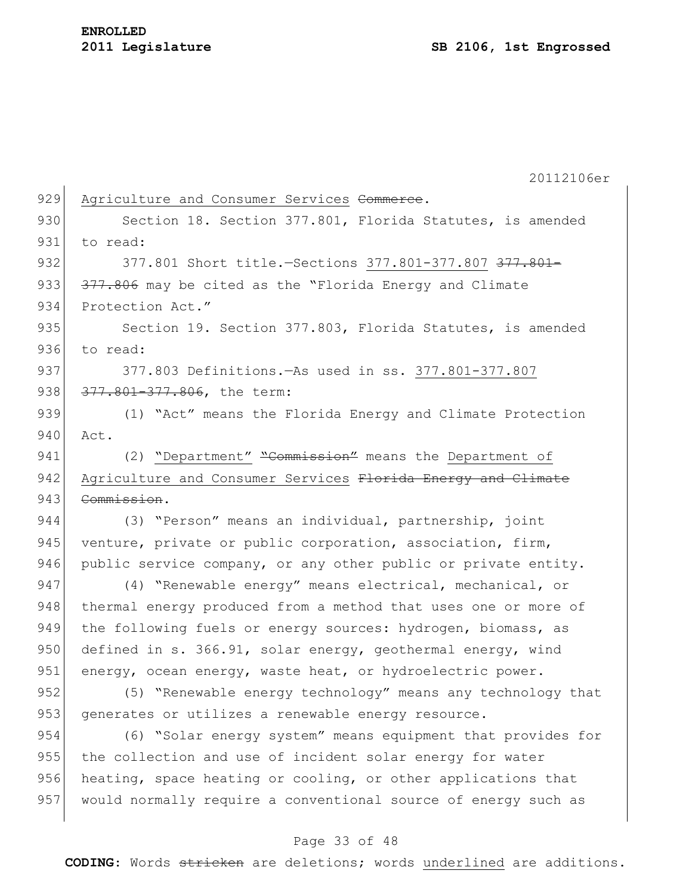20112106er 929 Agriculture and Consumer Services Commerce. 930 Section 18. Section 377.801, Florida Statutes, is amended 931 to read: 932 377.801 Short title. - Sections 377.801-377.807 377.801-933 377.806 may be cited as the "Florida Energy and Climate 934 Protection Act." 935 Section 19. Section 377.803, Florida Statutes, is amended 936 to read: 937 377.803 Definitions.—As used in ss. 377.801-377.807 938 377.801-377.806, the term: 939 (1) "Act" means the Florida Energy and Climate Protection 940 Act. 941 (2) "Department" "Commission" means the Department of 942 Agriculture and Consumer Services Florida Energy and Climate 943 <del>Commission</del>. 944 (3) "Person" means an individual, partnership, joint 945 venture, private or public corporation, association, firm, 946 public service company, or any other public or private entity. 947 (4) "Renewable energy" means electrical, mechanical, or 948 thermal energy produced from a method that uses one or more of 949 the following fuels or energy sources: hydrogen, biomass, as 950 defined in s. 366.91, solar energy, geothermal energy, wind 951 energy, ocean energy, waste heat, or hydroelectric power. 952 (5) "Renewable energy technology" means any technology that 953 generates or utilizes a renewable energy resource. 954 (6) "Solar energy system" means equipment that provides for 955 the collection and use of incident solar energy for water 956 heating, space heating or cooling, or other applications that 957 would normally require a conventional source of energy such as

## Page 33 of 48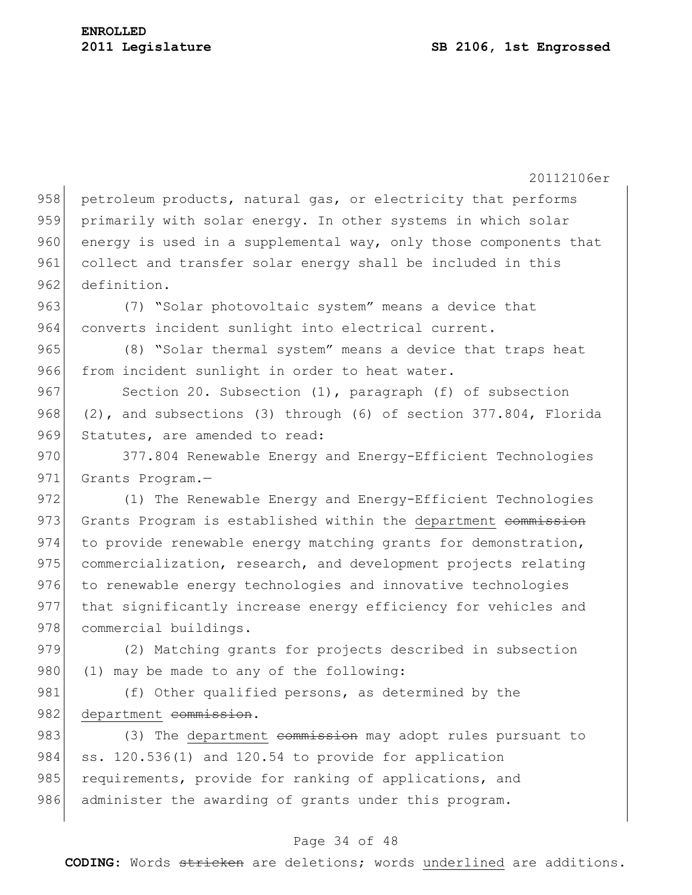20112106er 958 petroleum products, natural gas, or electricity that performs 959 primarily with solar energy. In other systems in which solar 960 energy is used in a supplemental way, only those components that 961 collect and transfer solar energy shall be included in this 962 definition. 963 (7) "Solar photovoltaic system" means a device that 964 converts incident sunlight into electrical current. 965 (8) "Solar thermal system" means a device that traps heat 966 from incident sunlight in order to heat water. 967 Section 20. Subsection (1), paragraph (f) of subsection 968  $(2)$ , and subsections (3) through (6) of section 377.804, Florida 969 Statutes, are amended to read: 970 377.804 Renewable Energy and Energy-Efficient Technologies 971 Grants Program.-972 (1) The Renewable Energy and Energy-Efficient Technologies 973 Grants Program is established within the department commission 974 to provide renewable energy matching grants for demonstration, 975 commercialization, research, and development projects relating 976 to renewable energy technologies and innovative technologies 977 that significantly increase energy efficiency for vehicles and 978 commercial buildings. 979 (2) Matching grants for projects described in subsection 980 (1) may be made to any of the following: 981 (f) Other qualified persons, as determined by the 982 department commission. 983 (3) The department commission may adopt rules pursuant to 984 ss. 120.536(1) and 120.54 to provide for application 985 requirements, provide for ranking of applications, and 986 administer the awarding of grants under this program.

#### Page 34 of 48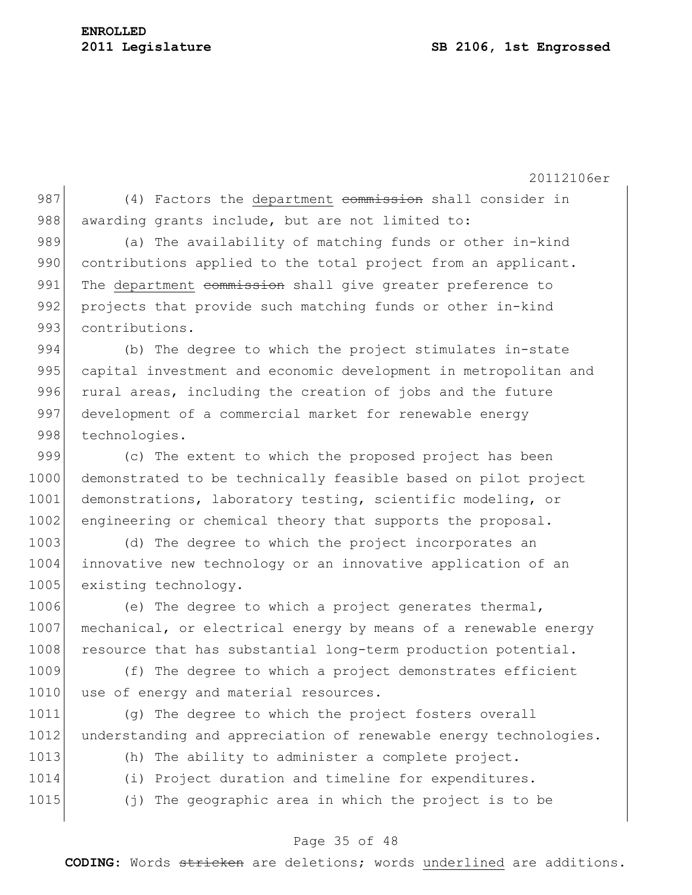987 (4) Factors the department commission shall consider in 988 awarding grants include, but are not limited to:

989 (a) The availability of matching funds or other in-kind 990 contributions applied to the total project from an applicant. 991 The department commission shall give greater preference to 992 projects that provide such matching funds or other in-kind 993 contributions.

994 (b) The degree to which the project stimulates in-state 995 capital investment and economic development in metropolitan and 996 rural areas, including the creation of jobs and the future 997 development of a commercial market for renewable energy 998 technologies.

999 (c) The extent to which the proposed project has been 1000 demonstrated to be technically feasible based on pilot project 1001 demonstrations, laboratory testing, scientific modeling, or 1002 engineering or chemical theory that supports the proposal.

1003 (d) The degree to which the project incorporates an 1004 innovative new technology or an innovative application of an 1005 existing technology.

1006 (e) The degree to which a project generates thermal, 1007 mechanical, or electrical energy by means of a renewable energy 1008 resource that has substantial long-term production potential.

1009 (f) The degree to which a project demonstrates efficient 1010 use of energy and material resources.

1011 (g) The degree to which the project fosters overall 1012 understanding and appreciation of renewable energy technologies.

1013 (h) The ability to administer a complete project.

- 1014 (i) Project duration and timeline for expenditures.
- 1015 (j) The geographic area in which the project is to be

# Page 35 of 48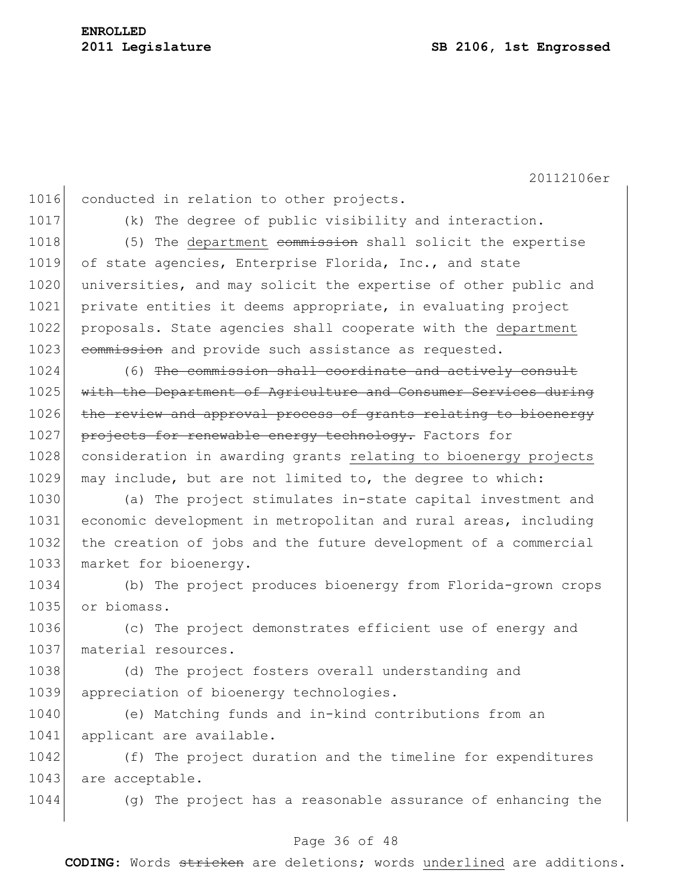1016 conducted in relation to other projects.

1017 (k) The degree of public visibility and interaction.

1018 (5) The department commission shall solicit the expertise 1019 of state agencies, Enterprise Florida, Inc., and state 1020 universities, and may solicit the expertise of other public and 1021 private entities it deems appropriate, in evaluating project 1022 proposals. State agencies shall cooperate with the department 1023 commission and provide such assistance as requested.

1024 (6) The commission shall coordinate and actively consult 1025 with the Department of Agriculture and Consumer Services during 1026 the review and approval process of grants relating to bioenergy 1027 projects for renewable energy technology. Factors for 1028 consideration in awarding grants relating to bioenergy projects 1029 may include, but are not limited to, the degree to which:

 (a) The project stimulates in-state capital investment and economic development in metropolitan and rural areas, including the creation of jobs and the future development of a commercial 1033 market for bioenergy.

1034 (b) The project produces bioenergy from Florida-grown crops 1035 or biomass.

1036 (c) The project demonstrates efficient use of energy and 1037 material resources.

1038 (d) The project fosters overall understanding and 1039 appreciation of bioenergy technologies.

1040 (e) Matching funds and in-kind contributions from an 1041 applicant are available.

1042 (f) The project duration and the timeline for expenditures 1043 are acceptable.

1044 (g) The project has a reasonable assurance of enhancing the

#### Page 36 of 48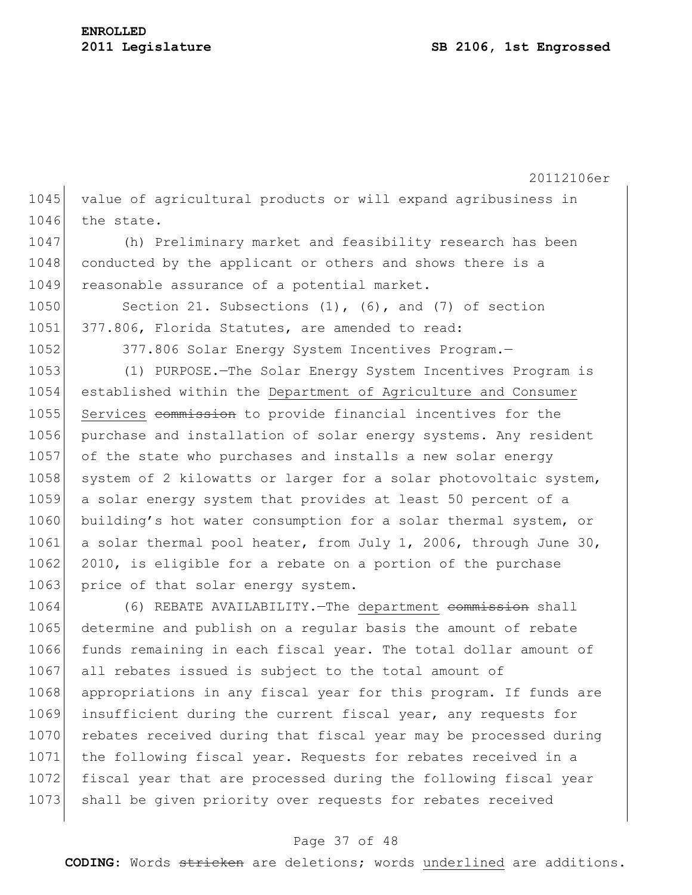20112106er 1045 value of agricultural products or will expand agribusiness in 1046 the state. 1047 (h) Preliminary market and feasibility research has been 1048 conducted by the applicant or others and shows there is a 1049 reasonable assurance of a potential market. 1050 Section 21. Subsections (1), (6), and (7) of section 1051 377.806, Florida Statutes, are amended to read: 1052 377.806 Solar Energy System Incentives Program. 1053 (1) PURPOSE.—The Solar Energy System Incentives Program is 1054 established within the Department of Agriculture and Consumer 1055 Services commission to provide financial incentives for the 1056 purchase and installation of solar energy systems. Any resident 1057 of the state who purchases and installs a new solar energy 1058 system of 2 kilowatts or larger for a solar photovoltaic system, 1059 a solar energy system that provides at least 50 percent of a 1060 building's hot water consumption for a solar thermal system, or 1061 a solar thermal pool heater, from July 1, 2006, through June 30, 1062 2010, is eligible for a rebate on a portion of the purchase 1063 price of that solar energy system. 1064 (6) REBATE AVAILABILITY. - The department commission shall

1065 determine and publish on a regular basis the amount of rebate 1066 funds remaining in each fiscal year. The total dollar amount of 1067 all rebates issued is subject to the total amount of 1068 appropriations in any fiscal year for this program. If funds are 1069 insufficient during the current fiscal year, any requests for 1070 rebates received during that fiscal year may be processed during 1071 the following fiscal year. Requests for rebates received in a 1072 fiscal year that are processed during the following fiscal year 1073 shall be given priority over requests for rebates received

# Page 37 of 48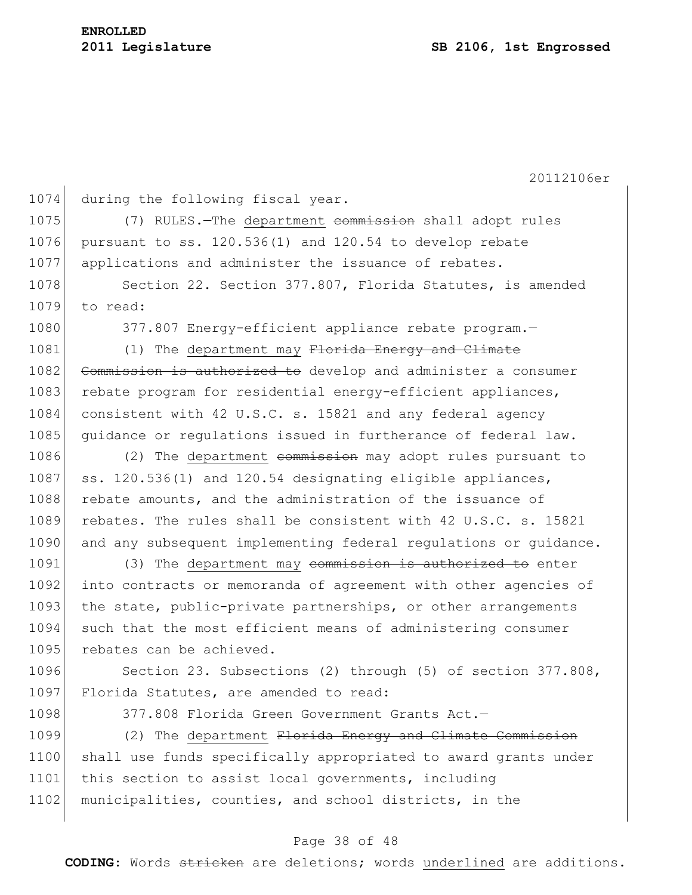1074 during the following fiscal year. 1075 (7) RULES.—The department commission shall adopt rules 1076 pursuant to ss.  $120.536(1)$  and  $120.54$  to develop rebate 1077 applications and administer the issuance of rebates. 1078 Section 22. Section 377.807, Florida Statutes, is amended 1079 to read: 1080 377.807 Energy-efficient appliance rebate program. 1081 (1) The department may Florida Energy and Climate 1082 Commission is authorized to develop and administer a consumer 1083 rebate program for residential energy-efficient appliances, 1084 consistent with 42 U.S.C. s. 15821 and any federal agency 1085 guidance or regulations issued in furtherance of federal law. 1086 (2) The department commission may adopt rules pursuant to 1087 ss. 120.536(1) and 120.54 designating eligible appliances, 1088 rebate amounts, and the administration of the issuance of 1089 rebates. The rules shall be consistent with 42 U.S.C. s. 15821 1090 and any subsequent implementing federal regulations or quidance. 1091 (3) The department may commission is authorized to enter 1092 into contracts or memoranda of agreement with other agencies of 1093 the state, public-private partnerships, or other arrangements 1094 such that the most efficient means of administering consumer 1095 rebates can be achieved. 1096 Section 23. Subsections (2) through (5) of section 377.808, 1097 Florida Statutes, are amended to read: 1098 377.808 Florida Green Government Grants Act.— 1099 (2) The department Florida Energy and Climate Commission 1100 shall use funds specifically appropriated to award grants under 1101 this section to assist local governments, including 1102 municipalities, counties, and school districts, in the

## Page 38 of 48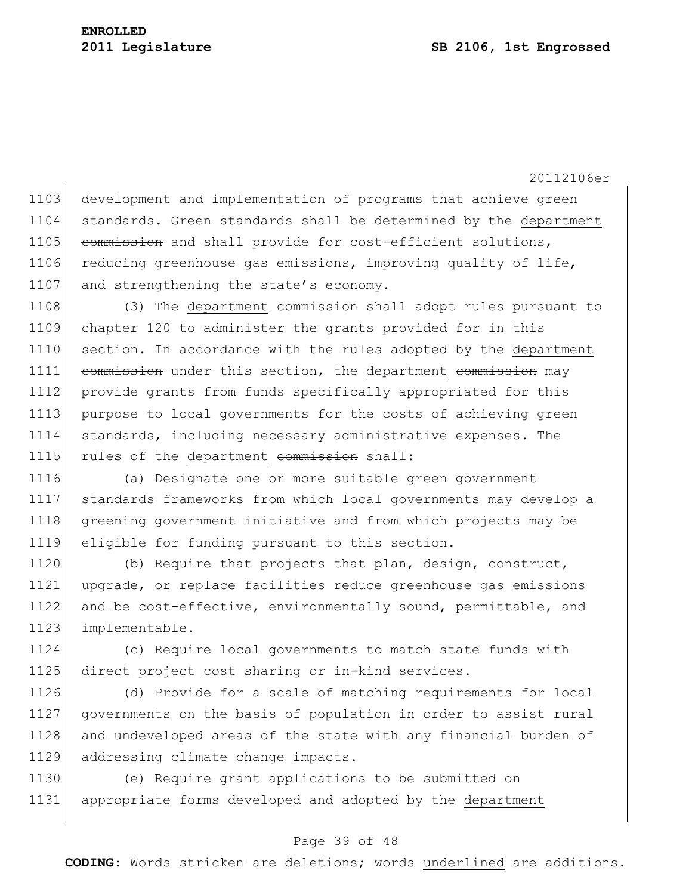20112106er 1103 development and implementation of programs that achieve green 1104 standards. Green standards shall be determined by the department 1105 commission and shall provide for cost-efficient solutions, 1106 reducing greenhouse gas emissions, improving quality of life, 1107 and strengthening the state's economy.

1108 (3) The department commission shall adopt rules pursuant to 1109 chapter 120 to administer the grants provided for in this 1110 section. In accordance with the rules adopted by the department 1111 commission under this section, the department commission may 1112 provide grants from funds specifically appropriated for this 1113 purpose to local governments for the costs of achieving green 1114 standards, including necessary administrative expenses. The 1115 rules of the department commission shall:

 (a) Designate one or more suitable green government standards frameworks from which local governments may develop a greening government initiative and from which projects may be eligible for funding pursuant to this section.

1120 (b) Require that projects that plan, design, construct, 1121 upgrade, or replace facilities reduce greenhouse gas emissions 1122 and be cost-effective, environmentally sound, permittable, and 1123 implementable.

1124 (c) Require local governments to match state funds with 1125 direct project cost sharing or in-kind services.

 (d) Provide for a scale of matching requirements for local governments on the basis of population in order to assist rural 1128 and undeveloped areas of the state with any financial burden of addressing climate change impacts.

1130 (e) Require grant applications to be submitted on 1131 appropriate forms developed and adopted by the department

# Page 39 of 48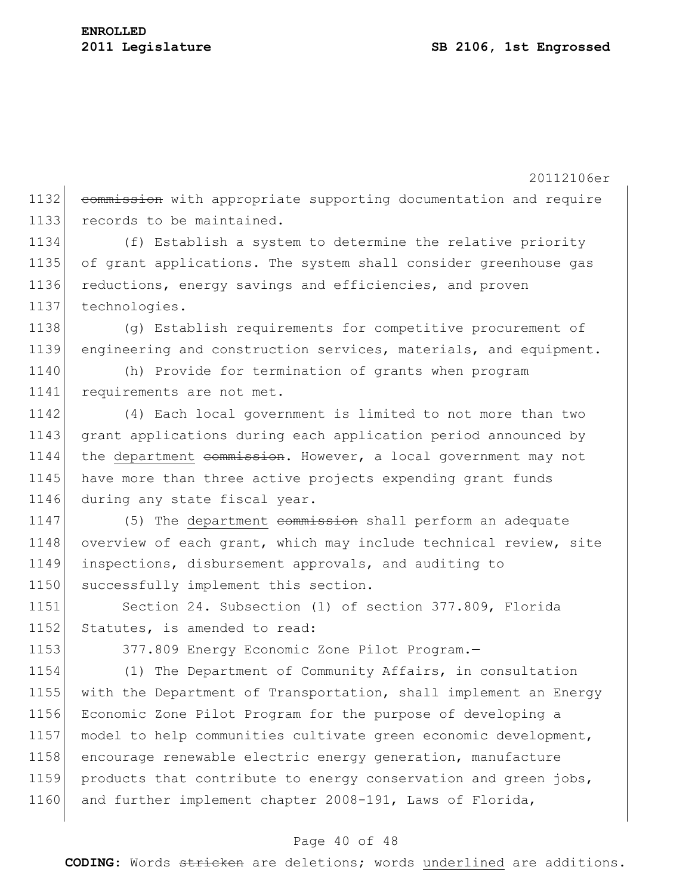20112106er 1132 commission with appropriate supporting documentation and require 1133 records to be maintained. 1134 (f) Establish a system to determine the relative priority 1135 of grant applications. The system shall consider greenhouse gas 1136 reductions, energy savings and efficiencies, and proven 1137 technologies. 1138 (g) Establish requirements for competitive procurement of 1139 engineering and construction services, materials, and equipment. 1140 (h) Provide for termination of grants when program 1141 requirements are not met. 1142 (4) Each local government is limited to not more than two 1143 grant applications during each application period announced by 1144 the department commission. However, a local government may not 1145 have more than three active projects expending grant funds 1146 during any state fiscal year. 1147 (5) The department commission shall perform an adequate 1148 overview of each grant, which may include technical review, site 1149 inspections, disbursement approvals, and auditing to 1150 successfully implement this section. 1151 Section 24. Subsection (1) of section 377.809, Florida 1152 Statutes, is amended to read: 1153 377.809 Energy Economic Zone Pilot Program. 1154 (1) The Department of Community Affairs, in consultation 1155 with the Department of Transportation, shall implement an Energy 1156 Economic Zone Pilot Program for the purpose of developing a 1157 model to help communities cultivate green economic development, 1158 encourage renewable electric energy generation, manufacture 1159 products that contribute to energy conservation and green jobs, 1160 and further implement chapter 2008-191, Laws of Florida,

#### Page 40 of 48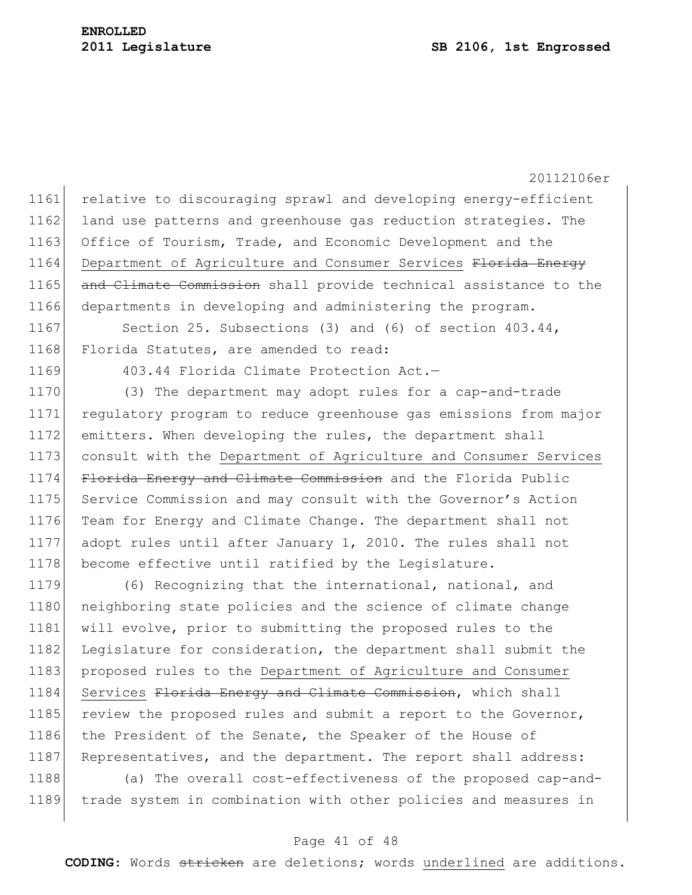20112106er 1161 relative to discouraging sprawl and developing energy-efficient 1162 land use patterns and greenhouse gas reduction strategies. The 1163 Office of Tourism, Trade, and Economic Development and the 1164 Department of Agriculture and Consumer Services Florida Energy 1165 and Climate Commission shall provide technical assistance to the 1166 departments in developing and administering the program. 1167 Section 25. Subsections (3) and (6) of section 403.44, 1168 Florida Statutes, are amended to read: 1169 403.44 Florida Climate Protection Act.-1170 (3) The department may adopt rules for a cap-and-trade 1171 regulatory program to reduce greenhouse gas emissions from major 1172 emitters. When developing the rules, the department shall 1173 consult with the Department of Agriculture and Consumer Services 1174 Florida Energy and Climate Commission and the Florida Public 1175 Service Commission and may consult with the Governor's Action 1176 Team for Energy and Climate Change. The department shall not 1177 adopt rules until after January 1, 2010. The rules shall not 1178 become effective until ratified by the Legislature. 1179 (6) Recognizing that the international, national, and 1180 neighboring state policies and the science of climate change 1181 will evolve, prior to submitting the proposed rules to the

1182 Legislature for consideration, the department shall submit the 1183 proposed rules to the Department of Agriculture and Consumer 1184 Services Florida Energy and Climate Commission, which shall 1185 review the proposed rules and submit a report to the Governor, 1186 the President of the Senate, the Speaker of the House of 1187 Representatives, and the department. The report shall address:

1188 (a) The overall cost-effectiveness of the proposed cap-and-1189 trade system in combination with other policies and measures in

#### Page 41 of 48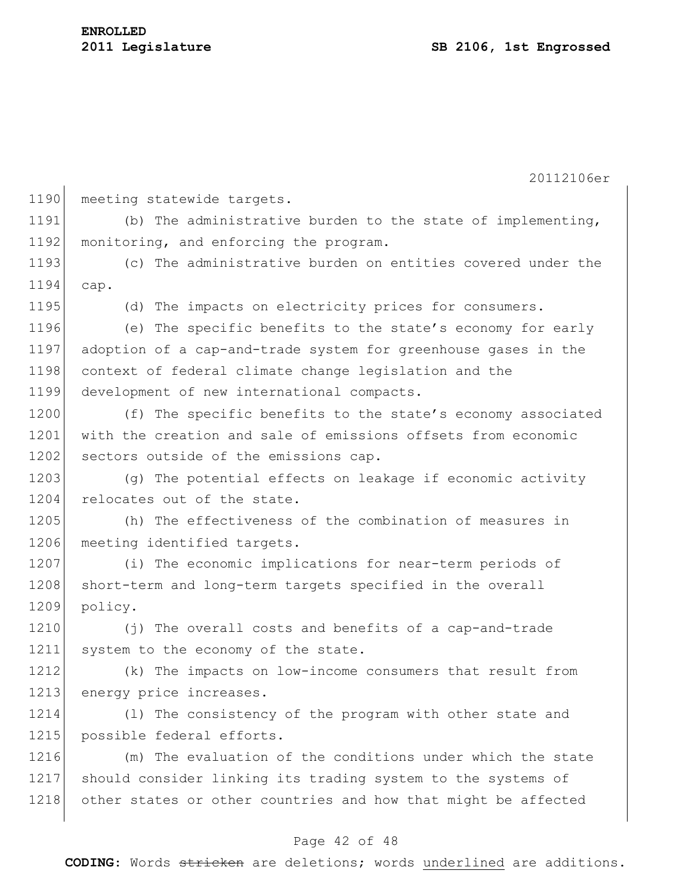| 1190 | meeting statewide targets.                                     |
|------|----------------------------------------------------------------|
| 1191 | (b) The administrative burden to the state of implementing,    |
| 1192 | monitoring, and enforcing the program.                         |
| 1193 | (c) The administrative burden on entities covered under the    |
| 1194 | cap.                                                           |
| 1195 | (d) The impacts on electricity prices for consumers.           |
| 1196 | (e) The specific benefits to the state's economy for early     |
| 1197 | adoption of a cap-and-trade system for greenhouse gases in the |
| 1198 | context of federal climate change legislation and the          |
| 1199 | development of new international compacts.                     |
| 1200 | (f) The specific benefits to the state's economy associated    |
| 1201 | with the creation and sale of emissions offsets from economic  |
| 1202 | sectors outside of the emissions cap.                          |
| 1203 | (q) The potential effects on leakage if economic activity      |
| 1204 | relocates out of the state.                                    |
| 1205 | (h) The effectiveness of the combination of measures in        |
| 1206 | meeting identified targets.                                    |
| 1207 | (i) The economic implications for near-term periods of         |
| 1208 | short-term and long-term targets specified in the overall      |
| 1209 | policy.                                                        |
| 1210 | (j) The overall costs and benefits of a cap-and-trade          |
| 1211 | system to the economy of the state.                            |
| 1212 | (k) The impacts on low-income consumers that result from       |
| 1213 | energy price increases.                                        |
| 1214 | (1) The consistency of the program with other state and        |
| 1215 | possible federal efforts.                                      |
| 1216 | (m) The evaluation of the conditions under which the state     |
| 1217 | should consider linking its trading system to the systems of   |
| 1218 | other states or other countries and how that might be affected |
|      |                                                                |

# Page 42 of 48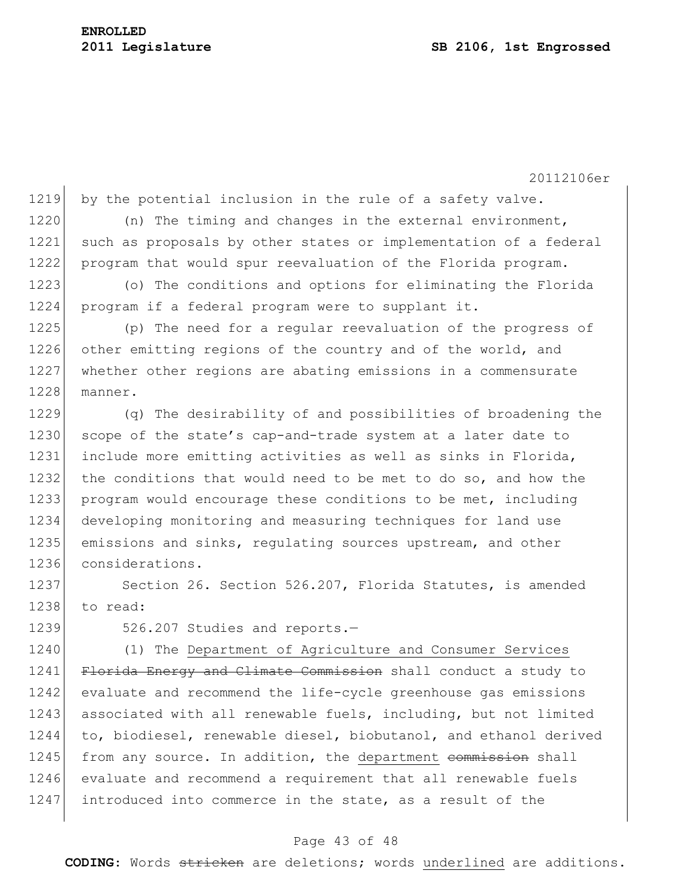1219 by the potential inclusion in the rule of a safety valve. 1220 (n) The timing and changes in the external environment, 1221 such as proposals by other states or implementation of a federal 1222 program that would spur reevaluation of the Florida program. 1223 (o) The conditions and options for eliminating the Florida 1224 program if a federal program were to supplant it.

1225 (p) The need for a regular reevaluation of the progress of 1226 other emitting regions of the country and of the world, and 1227 whether other regions are abating emissions in a commensurate 1228 manner.

1229 (q) The desirability of and possibilities of broadening the 1230 scope of the state's cap-and-trade system at a later date to 1231 include more emitting activities as well as sinks in Florida, 1232 the conditions that would need to be met to do so, and how the 1233 program would encourage these conditions to be met, including 1234 developing monitoring and measuring techniques for land use 1235 emissions and sinks, regulating sources upstream, and other 1236 considerations.

1237 Section 26. Section 526.207, Florida Statutes, is amended 1238 to read:

1239 526.207 Studies and reports.-

1240 (1) The Department of Agriculture and Consumer Services 1241 Florida Energy and Climate Commission shall conduct a study to 1242 evaluate and recommend the life-cycle greenhouse gas emissions 1243 associated with all renewable fuels, including, but not limited 1244 to, biodiesel, renewable diesel, biobutanol, and ethanol derived 1245 from any source. In addition, the department commission shall 1246 evaluate and recommend a requirement that all renewable fuels 1247 introduced into commerce in the state, as a result of the

#### Page 43 of 48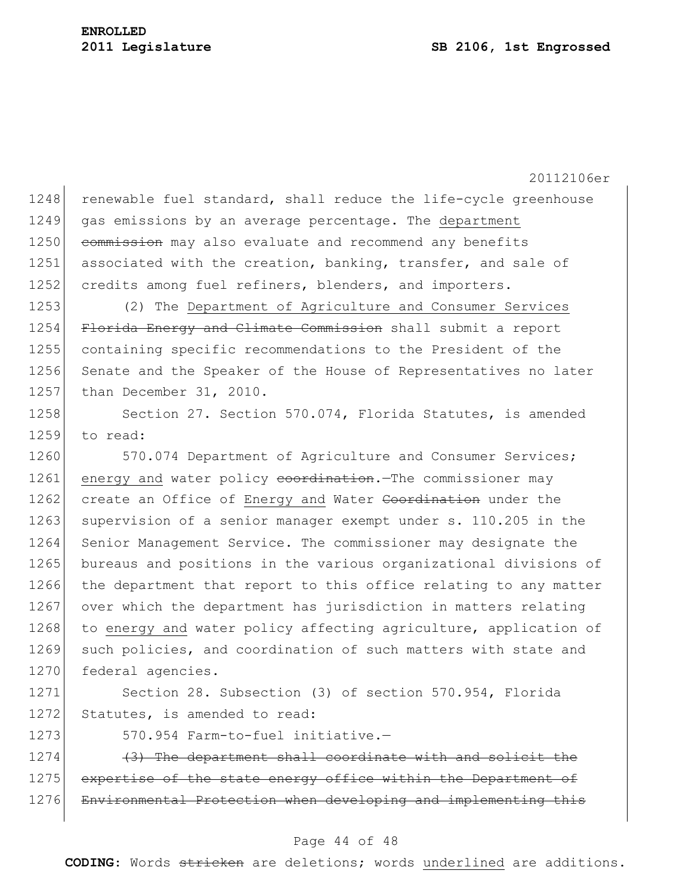$1248$  renewable fuel standard, shall reduce the life-cycle greenhouse 1249 gas emissions by an average percentage. The department 1250 commission may also evaluate and recommend any benefits 1251 associated with the creation, banking, transfer, and sale of 1252 credits among fuel refiners, blenders, and importers.

1253 (2) The Department of Agriculture and Consumer Services 1254 Florida Energy and Climate Commission shall submit a report 1255 containing specific recommendations to the President of the 1256 Senate and the Speaker of the House of Representatives no later 1257 than December 31, 2010.

1258 Section 27. Section 570.074, Florida Statutes, is amended 1259 to read:

1260 570.074 Department of Agriculture and Consumer Services; 1261 energy and water policy coordination. The commissioner may 1262 create an Office of Energy and Water Coordination under the 1263 supervision of a senior manager exempt under s. 110.205 in the 1264 Senior Management Service. The commissioner may designate the 1265 bureaus and positions in the various organizational divisions of 1266 the department that report to this office relating to any matter 1267 over which the department has jurisdiction in matters relating 1268 to energy and water policy affecting agriculture, application of 1269 such policies, and coordination of such matters with state and 1270 federal agencies.

1271 Section 28. Subsection (3) of section 570.954, Florida 1272 Statutes, is amended to read:

1273 570.954 Farm-to-fuel initiative.—

1274 (3) The department shall coordinate with and solicit the 1275 expertise of the state energy office within the Department of 1276 Environmental Protection when developing and implementing this

#### Page 44 of 48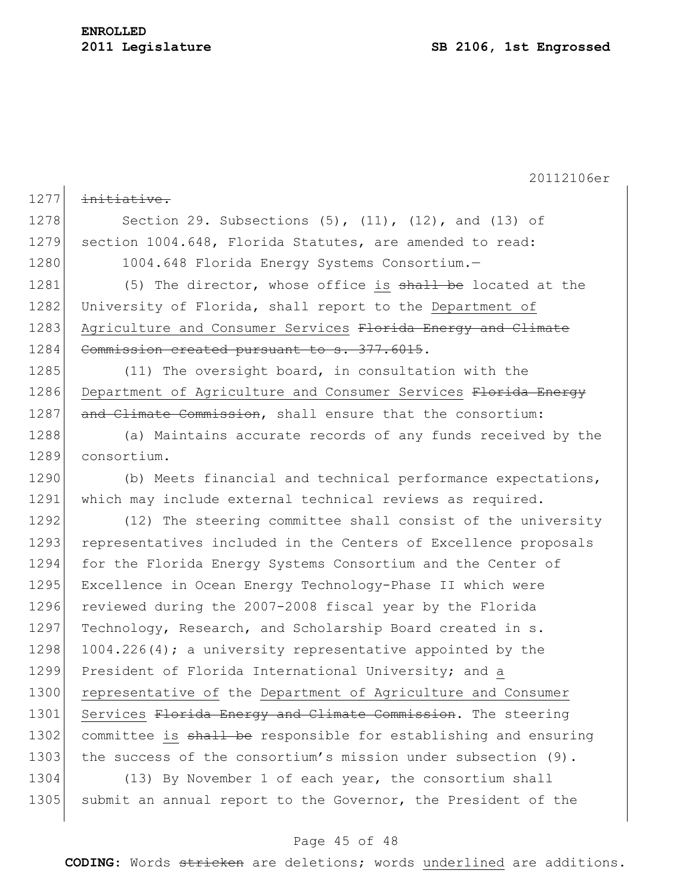# **ENROLLED**

20112106er 1277 initiative. 1278 Section 29. Subsections (5), (11), (12), and (13) of 1279 section 1004.648, Florida Statutes, are amended to read: 1280 1004.648 Florida Energy Systems Consortium. 1281 (5) The director, whose office is shall be located at the 1282 University of Florida, shall report to the Department of 1283 Agriculture and Consumer Services Florida Energy and Climate 1284 Commission created pursuant to s. 377.6015. 1285 (11) The oversight board, in consultation with the 1286 Department of Agriculture and Consumer Services Florida Energy 1287 and Climate Commission, shall ensure that the consortium: 1288 (a) Maintains accurate records of any funds received by the 1289 consortium. 1290 (b) Meets financial and technical performance expectations, 1291 which may include external technical reviews as required. 1292 (12) The steering committee shall consist of the university 1293 representatives included in the Centers of Excellence proposals 1294 for the Florida Energy Systems Consortium and the Center of 1295 Excellence in Ocean Energy Technology-Phase II which were 1296 reviewed during the 2007-2008 fiscal year by the Florida 1297 Technology, Research, and Scholarship Board created in s. 1298 1004.226(4); a university representative appointed by the 1299 President of Florida International University; and a 1300 representative of the Department of Agriculture and Consumer 1301 Services Florida Energy and Climate Commission. The steering 1302 committee is shall be responsible for establishing and ensuring 1303 the success of the consortium's mission under subsection (9). 1304 (13) By November 1 of each year, the consortium shall 1305 submit an annual report to the Governor, the President of the

#### Page 45 of 48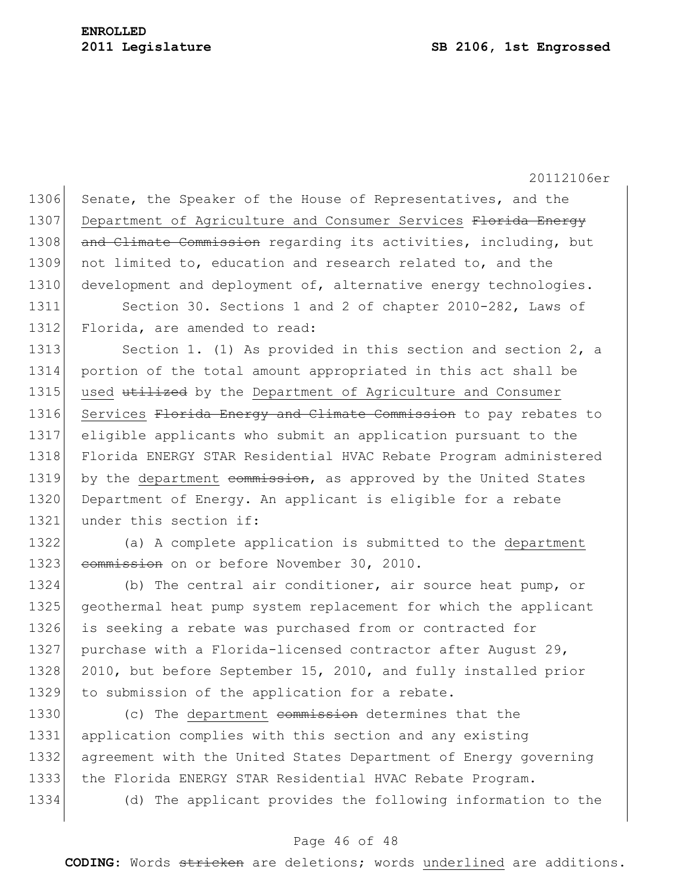1306 Senate, the Speaker of the House of Representatives, and the 1307 Department of Agriculture and Consumer Services Florida Energy 1308 and Climate Commission regarding its activities, including, but 1309 not limited to, education and research related to, and the 1310 development and deployment of, alternative energy technologies.

1311 Section 30. Sections 1 and 2 of chapter 2010-282, Laws of 1312 Florida, are amended to read:

1313 Section 1. (1) As provided in this section and section 2, a 1314 portion of the total amount appropriated in this act shall be 1315 used utilized by the Department of Agriculture and Consumer 1316 Services Florida Energy and Climate Commission to pay rebates to 1317 eligible applicants who submit an application pursuant to the 1318 Florida ENERGY STAR Residential HVAC Rebate Program administered 1319 by the department commission, as approved by the United States 1320 Department of Energy. An applicant is eligible for a rebate 1321 under this section if:

1322 (a) A complete application is submitted to the department 1323 commission on or before November 30, 2010.

1324 (b) The central air conditioner, air source heat pump, or 1325 geothermal heat pump system replacement for which the applicant 1326 is seeking a rebate was purchased from or contracted for 1327 purchase with a Florida-licensed contractor after August 29, 1328 2010, but before September 15, 2010, and fully installed prior 1329 to submission of the application for a rebate.

1330 (c) The department commission determines that the 1331 application complies with this section and any existing 1332 agreement with the United States Department of Energy governing 1333 the Florida ENERGY STAR Residential HVAC Rebate Program. 1334 (d) The applicant provides the following information to the

## Page 46 of 48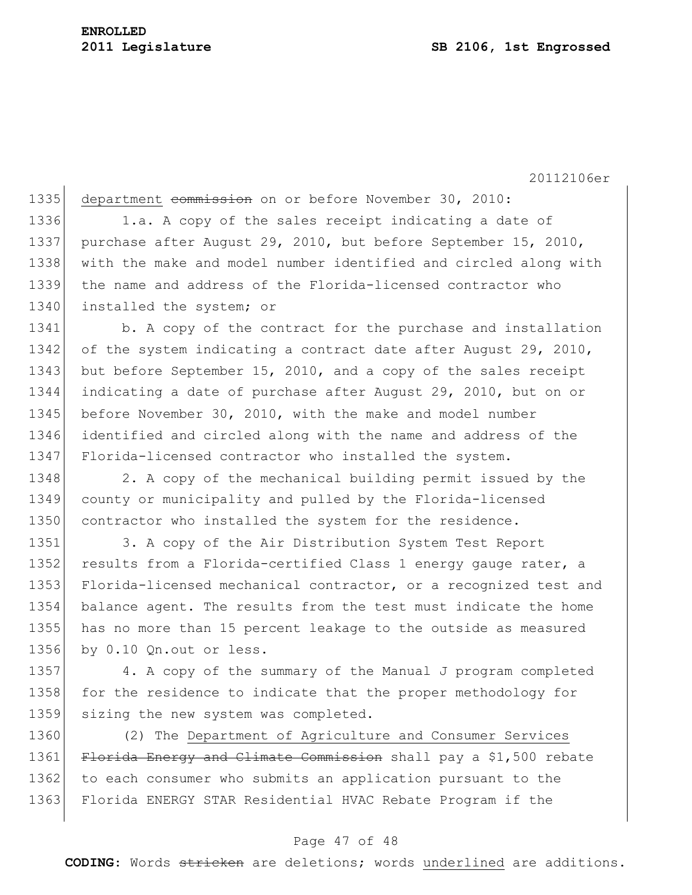# **ENROLLED**

20112106er

1335 department commission on or before November 30, 2010: 1336 1.a. A copy of the sales receipt indicating a date of 1337 purchase after August 29, 2010, but before September 15, 2010, 1338 with the make and model number identified and circled along with 1339 the name and address of the Florida-licensed contractor who 1340 installed the system; or 1341 b. A copy of the contract for the purchase and installation 1342 of the system indicating a contract date after August 29, 2010, 1343 but before September 15, 2010, and a copy of the sales receipt 1344 indicating a date of purchase after August 29, 2010, but on or 1345 before November 30, 2010, with the make and model number

1346 identified and circled along with the name and address of the 1347 Florida-licensed contractor who installed the system.

1348 2. A copy of the mechanical building permit issued by the 1349 county or municipality and pulled by the Florida-licensed 1350 contractor who installed the system for the residence.

1351 3. A copy of the Air Distribution System Test Report 1352 results from a Florida-certified Class 1 energy gauge rater, a 1353 Florida-licensed mechanical contractor, or a recognized test and 1354 balance agent. The results from the test must indicate the home 1355 has no more than 15 percent leakage to the outside as measured 1356 by 0.10 Qn.out or less.

1357 4. A copy of the summary of the Manual J program completed 1358 for the residence to indicate that the proper methodology for 1359 sizing the new system was completed.

1360 (2) The Department of Agriculture and Consumer Services 1361 Florida Energy and Climate Commission shall pay a \$1,500 rebate 1362 to each consumer who submits an application pursuant to the 1363 Florida ENERGY STAR Residential HVAC Rebate Program if the

#### Page 47 of 48